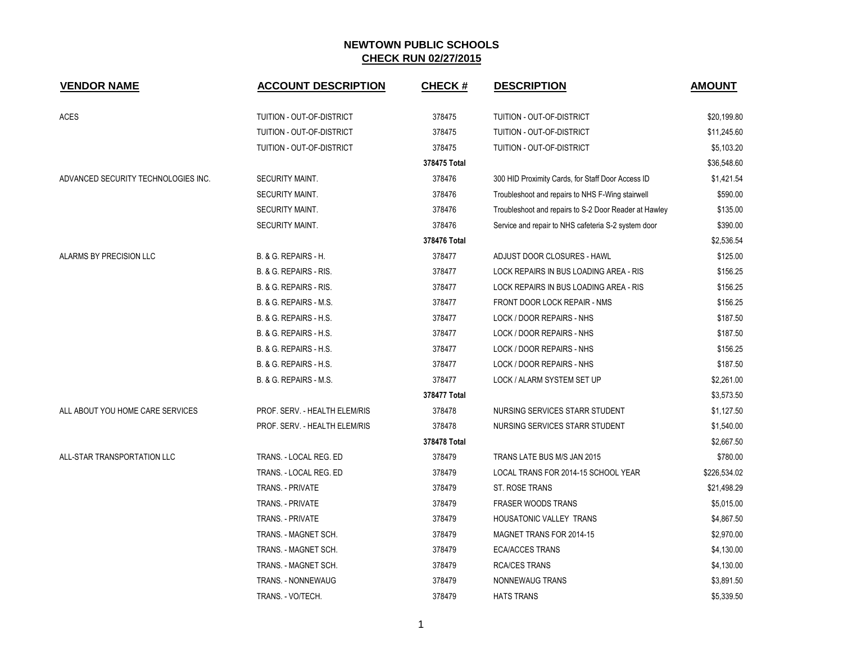| <b>VENDOR NAME</b>                  | <b>ACCOUNT DESCRIPTION</b>      | <b>CHECK#</b> | <b>DESCRIPTION</b>                                    | <b>AMOUNT</b> |
|-------------------------------------|---------------------------------|---------------|-------------------------------------------------------|---------------|
| <b>ACES</b>                         | TUITION - OUT-OF-DISTRICT       | 378475        | TUITION - OUT-OF-DISTRICT                             | \$20,199.80   |
|                                     | TUITION - OUT-OF-DISTRICT       | 378475        | <b>TUITION - OUT-OF-DISTRICT</b>                      | \$11,245.60   |
|                                     | TUITION - OUT-OF-DISTRICT       | 378475        | TUITION - OUT-OF-DISTRICT                             | \$5,103.20    |
|                                     |                                 | 378475 Total  |                                                       | \$36,548.60   |
| ADVANCED SECURITY TECHNOLOGIES INC. | SECURITY MAINT.                 | 378476        | 300 HID Proximity Cards, for Staff Door Access ID     | \$1,421.54    |
|                                     | <b>SECURITY MAINT.</b>          | 378476        | Troubleshoot and repairs to NHS F-Wing stairwell      | \$590.00      |
|                                     | SECURITY MAINT.                 | 378476        | Troubleshoot and repairs to S-2 Door Reader at Hawley | \$135.00      |
|                                     | SECURITY MAINT.                 | 378476        | Service and repair to NHS cafeteria S-2 system door   | \$390.00      |
|                                     |                                 | 378476 Total  |                                                       | \$2,536.54    |
| ALARMS BY PRECISION LLC             | <b>B. &amp; G. REPAIRS - H.</b> | 378477        | ADJUST DOOR CLOSURES - HAWL                           | \$125.00      |
|                                     | B. & G. REPAIRS - RIS.          | 378477        | LOCK REPAIRS IN BUS LOADING AREA - RIS                | \$156.25      |
|                                     | B. & G. REPAIRS - RIS.          | 378477        | LOCK REPAIRS IN BUS LOADING AREA - RIS                | \$156.25      |
|                                     | B. & G. REPAIRS - M.S.          | 378477        | FRONT DOOR LOCK REPAIR - NMS                          | \$156.25      |
|                                     | B. & G. REPAIRS - H.S.          | 378477        | LOCK / DOOR REPAIRS - NHS                             | \$187.50      |
|                                     | B. & G. REPAIRS - H.S.          | 378477        | LOCK / DOOR REPAIRS - NHS                             | \$187.50      |
|                                     | B. & G. REPAIRS - H.S.          | 378477        | LOCK / DOOR REPAIRS - NHS                             | \$156.25      |
|                                     | B. & G. REPAIRS - H.S.          | 378477        | LOCK / DOOR REPAIRS - NHS                             | \$187.50      |
|                                     | B. & G. REPAIRS - M.S.          | 378477        | LOCK / ALARM SYSTEM SET UP                            | \$2,261.00    |
|                                     |                                 | 378477 Total  |                                                       | \$3,573.50    |
| ALL ABOUT YOU HOME CARE SERVICES    | PROF. SERV. - HEALTH ELEM/RIS   | 378478        | NURSING SERVICES STARR STUDENT                        | \$1,127.50    |
|                                     | PROF. SERV. - HEALTH ELEM/RIS   | 378478        | NURSING SERVICES STARR STUDENT                        | \$1,540.00    |
|                                     |                                 | 378478 Total  |                                                       | \$2,667.50    |
| ALL-STAR TRANSPORTATION LLC         | TRANS. - LOCAL REG. ED          | 378479        | TRANS LATE BUS M/S JAN 2015                           | \$780.00      |
|                                     | TRANS. - LOCAL REG. ED          | 378479        | LOCAL TRANS FOR 2014-15 SCHOOL YEAR                   | \$226,534.02  |
|                                     | <b>TRANS. - PRIVATE</b>         | 378479        | <b>ST. ROSE TRANS</b>                                 | \$21,498.29   |
|                                     | TRANS. - PRIVATE                | 378479        | <b>FRASER WOODS TRANS</b>                             | \$5,015.00    |
|                                     | TRANS. - PRIVATE                | 378479        | HOUSATONIC VALLEY TRANS                               | \$4,867.50    |
|                                     | TRANS. - MAGNET SCH.            | 378479        | MAGNET TRANS FOR 2014-15                              | \$2,970.00    |
|                                     | TRANS. - MAGNET SCH.            | 378479        | <b>ECA/ACCES TRANS</b>                                | \$4,130.00    |
|                                     | TRANS. - MAGNET SCH.            | 378479        | <b>RCA/CES TRANS</b>                                  | \$4,130.00    |
|                                     | <b>TRANS. - NONNEWAUG</b>       | 378479        | NONNEWAUG TRANS                                       | \$3,891.50    |
|                                     | TRANS. - VO/TECH.               | 378479        | <b>HATS TRANS</b>                                     | \$5,339.50    |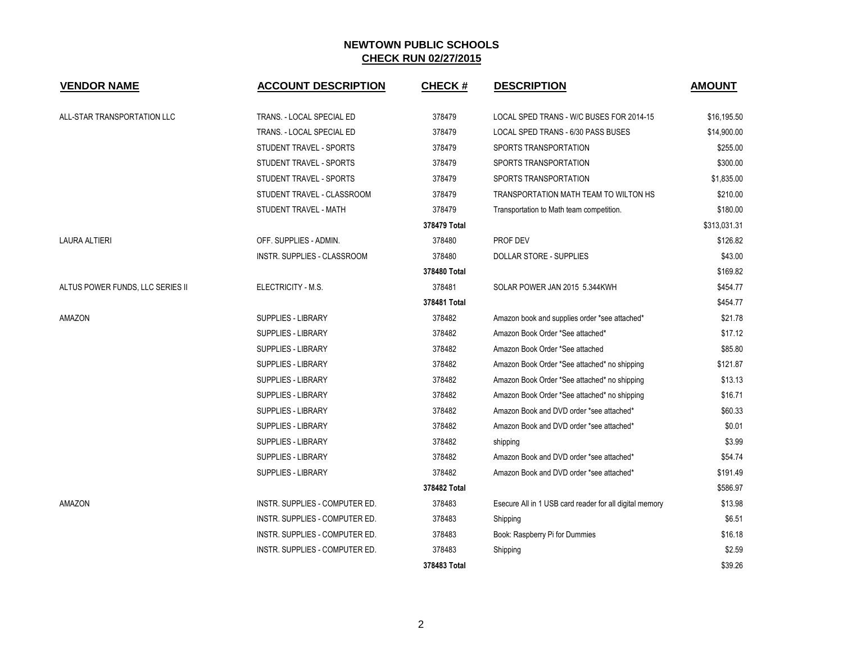| <b>VENDOR NAME</b>               | <b>ACCOUNT DESCRIPTION</b>     | <b>CHECK#</b> | <b>DESCRIPTION</b>                                      | <b>AMOUNT</b> |
|----------------------------------|--------------------------------|---------------|---------------------------------------------------------|---------------|
| ALL-STAR TRANSPORTATION LLC      | TRANS. - LOCAL SPECIAL ED      | 378479        | LOCAL SPED TRANS - W/C BUSES FOR 2014-15                | \$16,195.50   |
|                                  | TRANS. - LOCAL SPECIAL ED      | 378479        | LOCAL SPED TRANS - 6/30 PASS BUSES                      | \$14,900.00   |
|                                  | STUDENT TRAVEL - SPORTS        | 378479        | SPORTS TRANSPORTATION                                   | \$255.00      |
|                                  | STUDENT TRAVEL - SPORTS        | 378479        | SPORTS TRANSPORTATION                                   | \$300.00      |
|                                  | STUDENT TRAVEL - SPORTS        | 378479        | SPORTS TRANSPORTATION                                   | \$1,835.00    |
|                                  | STUDENT TRAVEL - CLASSROOM     | 378479        | TRANSPORTATION MATH TEAM TO WILTON HS                   | \$210.00      |
|                                  | STUDENT TRAVEL - MATH          | 378479        | Transportation to Math team competition.                | \$180.00      |
|                                  |                                | 378479 Total  |                                                         | \$313,031.31  |
| <b>LAURA ALTIERI</b>             | OFF. SUPPLIES - ADMIN.         | 378480        | PROF DEV                                                | \$126.82      |
|                                  | INSTR. SUPPLIES - CLASSROOM    | 378480        | DOLLAR STORE - SUPPLIES                                 | \$43.00       |
|                                  |                                | 378480 Total  |                                                         | \$169.82      |
| ALTUS POWER FUNDS, LLC SERIES II | ELECTRICITY - M.S.             | 378481        | SOLAR POWER JAN 2015 5.344KWH                           | \$454.77      |
|                                  |                                | 378481 Total  |                                                         | \$454.77      |
| AMAZON                           | SUPPLIES - LIBRARY             | 378482        | Amazon book and supplies order *see attached*           | \$21.78       |
|                                  | <b>SUPPLIES - LIBRARY</b>      | 378482        | Amazon Book Order *See attached*                        | \$17.12       |
|                                  | <b>SUPPLIES - LIBRARY</b>      | 378482        | Amazon Book Order *See attached                         | \$85.80       |
|                                  | <b>SUPPLIES - LIBRARY</b>      | 378482        | Amazon Book Order *See attached* no shipping            | \$121.87      |
|                                  | <b>SUPPLIES - LIBRARY</b>      | 378482        | Amazon Book Order *See attached* no shipping            | \$13.13       |
|                                  | SUPPLIES - LIBRARY             | 378482        | Amazon Book Order *See attached* no shipping            | \$16.71       |
|                                  | SUPPLIES - LIBRARY             | 378482        | Amazon Book and DVD order *see attached*                | \$60.33       |
|                                  | <b>SUPPLIES - LIBRARY</b>      | 378482        | Amazon Book and DVD order *see attached*                | \$0.01        |
|                                  | <b>SUPPLIES - LIBRARY</b>      | 378482        | shipping                                                | \$3.99        |
|                                  | SUPPLIES - LIBRARY             | 378482        | Amazon Book and DVD order *see attached*                | \$54.74       |
|                                  | SUPPLIES - LIBRARY             | 378482        | Amazon Book and DVD order *see attached*                | \$191.49      |
|                                  |                                | 378482 Total  |                                                         | \$586.97      |
| AMAZON                           | INSTR. SUPPLIES - COMPUTER ED. | 378483        | Esecure All in 1 USB card reader for all digital memory | \$13.98       |
|                                  | INSTR. SUPPLIES - COMPUTER ED. | 378483        | Shipping                                                | \$6.51        |
|                                  | INSTR. SUPPLIES - COMPUTER ED. | 378483        | Book: Raspberry Pi for Dummies                          | \$16.18       |
|                                  | INSTR. SUPPLIES - COMPUTER ED. | 378483        | Shipping                                                | \$2.59        |
|                                  |                                | 378483 Total  |                                                         | \$39.26       |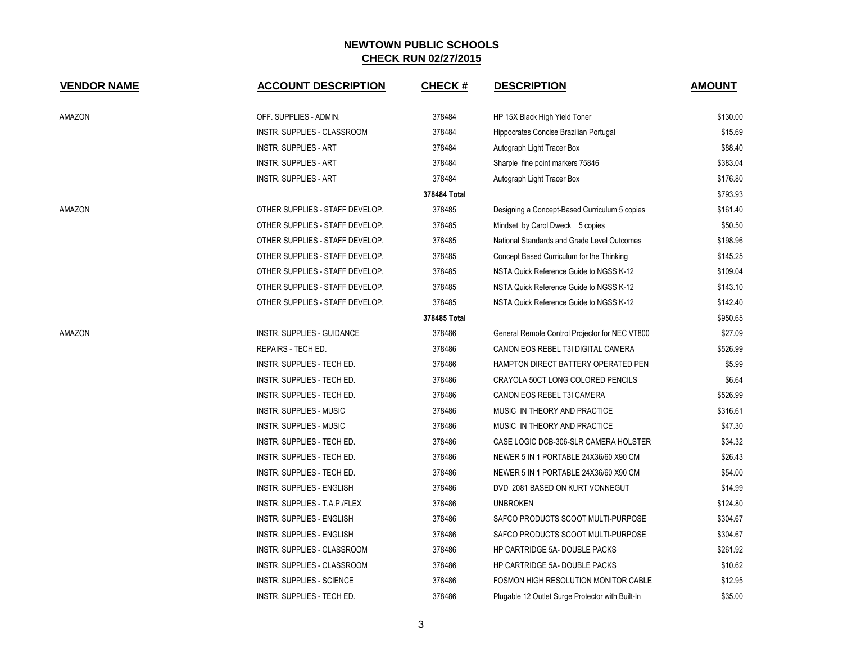| <b>VENDOR NAME</b> | <b>ACCOUNT DESCRIPTION</b>        | <b>CHECK#</b> | <b>DESCRIPTION</b>                               | <b>AMOUNT</b> |
|--------------------|-----------------------------------|---------------|--------------------------------------------------|---------------|
| AMAZON             | OFF. SUPPLIES - ADMIN.            | 378484        | HP 15X Black High Yield Toner                    | \$130.00      |
|                    | INSTR. SUPPLIES - CLASSROOM       | 378484        | Hippocrates Concise Brazilian Portugal           | \$15.69       |
|                    | <b>INSTR. SUPPLIES - ART</b>      | 378484        | Autograph Light Tracer Box                       | \$88.40       |
|                    | <b>INSTR. SUPPLIES - ART</b>      | 378484        | Sharpie fine point markers 75846                 | \$383.04      |
|                    | <b>INSTR. SUPPLIES - ART</b>      | 378484        | Autograph Light Tracer Box                       | \$176.80      |
|                    |                                   | 378484 Total  |                                                  | \$793.93      |
| AMAZON             | OTHER SUPPLIES - STAFF DEVELOP.   | 378485        | Designing a Concept-Based Curriculum 5 copies    | \$161.40      |
|                    | OTHER SUPPLIES - STAFF DEVELOP.   | 378485        | Mindset by Carol Dweck 5 copies                  | \$50.50       |
|                    | OTHER SUPPLIES - STAFF DEVELOP.   | 378485        | National Standards and Grade Level Outcomes      | \$198.96      |
|                    | OTHER SUPPLIES - STAFF DEVELOP.   | 378485        | Concept Based Curriculum for the Thinking        | \$145.25      |
|                    | OTHER SUPPLIES - STAFF DEVELOP.   | 378485        | NSTA Quick Reference Guide to NGSS K-12          | \$109.04      |
|                    | OTHER SUPPLIES - STAFF DEVELOP.   | 378485        | NSTA Quick Reference Guide to NGSS K-12          | \$143.10      |
|                    | OTHER SUPPLIES - STAFF DEVELOP.   | 378485        | NSTA Quick Reference Guide to NGSS K-12          | \$142.40      |
|                    |                                   | 378485 Total  |                                                  | \$950.65      |
| AMAZON             | <b>INSTR. SUPPLIES - GUIDANCE</b> | 378486        | General Remote Control Projector for NEC VT800   | \$27.09       |
|                    | REPAIRS - TECH ED.                | 378486        | CANON EOS REBEL T3I DIGITAL CAMERA               | \$526.99      |
|                    | INSTR. SUPPLIES - TECH ED.        | 378486        | HAMPTON DIRECT BATTERY OPERATED PEN              | \$5.99        |
|                    | INSTR. SUPPLIES - TECH ED.        | 378486        | CRAYOLA 50CT LONG COLORED PENCILS                | \$6.64        |
|                    | INSTR. SUPPLIES - TECH ED.        | 378486        | CANON EOS REBEL T3I CAMERA                       | \$526.99      |
|                    | <b>INSTR. SUPPLIES - MUSIC</b>    | 378486        | MUSIC IN THEORY AND PRACTICE                     | \$316.61      |
|                    | <b>INSTR. SUPPLIES - MUSIC</b>    | 378486        | MUSIC IN THEORY AND PRACTICE                     | \$47.30       |
|                    | INSTR. SUPPLIES - TECH ED.        | 378486        | CASE LOGIC DCB-306-SLR CAMERA HOLSTER            | \$34.32       |
|                    | INSTR. SUPPLIES - TECH ED.        | 378486        | NEWER 5 IN 1 PORTABLE 24X36/60 X90 CM            | \$26.43       |
|                    | INSTR. SUPPLIES - TECH ED.        | 378486        | NEWER 5 IN 1 PORTABLE 24X36/60 X90 CM            | \$54.00       |
|                    | INSTR. SUPPLIES - ENGLISH         | 378486        | DVD 2081 BASED ON KURT VONNEGUT                  | \$14.99       |
|                    | INSTR. SUPPLIES - T.A.P./FLEX     | 378486        | <b>UNBROKEN</b>                                  | \$124.80      |
|                    | INSTR. SUPPLIES - ENGLISH         | 378486        | SAFCO PRODUCTS SCOOT MULTI-PURPOSE               | \$304.67      |
|                    | INSTR. SUPPLIES - ENGLISH         | 378486        | SAFCO PRODUCTS SCOOT MULTI-PURPOSE               | \$304.67      |
|                    | INSTR. SUPPLIES - CLASSROOM       | 378486        | <b>HP CARTRIDGE 5A- DOUBLE PACKS</b>             | \$261.92      |
|                    | INSTR. SUPPLIES - CLASSROOM       | 378486        | HP CARTRIDGE 5A- DOUBLE PACKS                    | \$10.62       |
|                    | <b>INSTR. SUPPLIES - SCIENCE</b>  | 378486        | FOSMON HIGH RESOLUTION MONITOR CABLE             | \$12.95       |
|                    | INSTR. SUPPLIES - TECH ED.        | 378486        | Plugable 12 Outlet Surge Protector with Built-In | \$35.00       |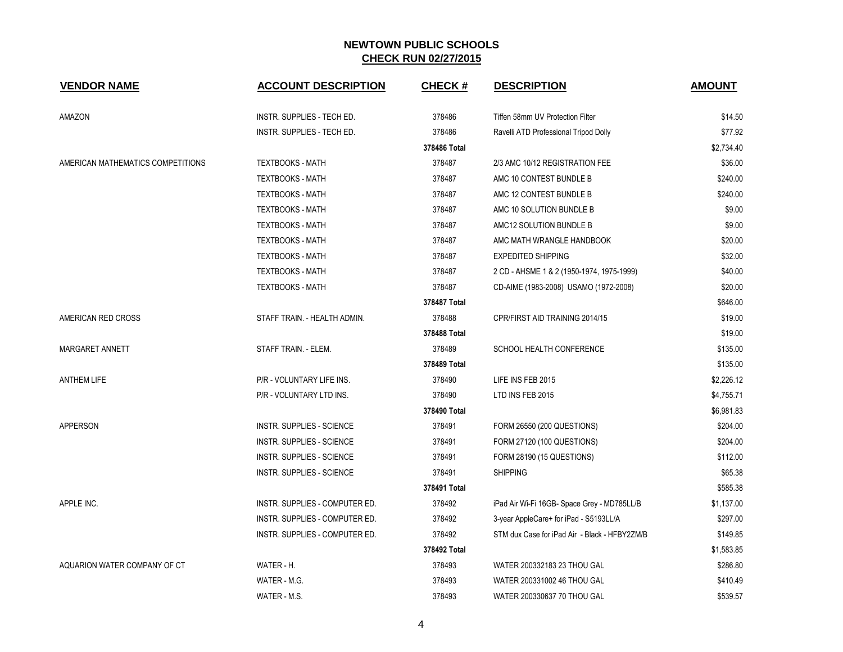| <b>VENDOR NAME</b>                | <b>ACCOUNT DESCRIPTION</b>       | <b>CHECK#</b> | <b>DESCRIPTION</b>                            | <b>AMOUNT</b> |
|-----------------------------------|----------------------------------|---------------|-----------------------------------------------|---------------|
| AMAZON                            | INSTR. SUPPLIES - TECH ED.       | 378486        | Tiffen 58mm UV Protection Filter              | \$14.50       |
|                                   | INSTR. SUPPLIES - TECH ED.       | 378486        | Ravelli ATD Professional Tripod Dolly         | \$77.92       |
|                                   |                                  | 378486 Total  |                                               | \$2,734.40    |
| AMERICAN MATHEMATICS COMPETITIONS | <b>TEXTBOOKS - MATH</b>          | 378487        | 2/3 AMC 10/12 REGISTRATION FEE                | \$36.00       |
|                                   | <b>TEXTBOOKS - MATH</b>          | 378487        | AMC 10 CONTEST BUNDLE B                       | \$240.00      |
|                                   | <b>TEXTBOOKS - MATH</b>          | 378487        | AMC 12 CONTEST BUNDLE B                       | \$240.00      |
|                                   | <b>TEXTBOOKS - MATH</b>          | 378487        | AMC 10 SOLUTION BUNDLE B                      | \$9.00        |
|                                   | <b>TEXTBOOKS - MATH</b>          | 378487        | AMC12 SOLUTION BUNDLE B                       | \$9.00        |
|                                   | <b>TEXTBOOKS - MATH</b>          | 378487        | AMC MATH WRANGLE HANDBOOK                     | \$20.00       |
|                                   | <b>TEXTBOOKS - MATH</b>          | 378487        | <b>EXPEDITED SHIPPING</b>                     | \$32.00       |
|                                   | <b>TEXTBOOKS - MATH</b>          | 378487        | 2 CD - AHSME 1 & 2 (1950-1974, 1975-1999)     | \$40.00       |
|                                   | <b>TEXTBOOKS - MATH</b>          | 378487        | CD-AIME (1983-2008) USAMO (1972-2008)         | \$20.00       |
|                                   |                                  | 378487 Total  |                                               | \$646.00      |
| AMERICAN RED CROSS                | STAFF TRAIN. - HEALTH ADMIN.     | 378488        | CPR/FIRST AID TRAINING 2014/15                | \$19.00       |
|                                   |                                  | 378488 Total  |                                               | \$19.00       |
| MARGARET ANNETT                   | STAFF TRAIN. - ELEM.             | 378489        | SCHOOL HEALTH CONFERENCE                      | \$135.00      |
|                                   |                                  | 378489 Total  |                                               | \$135.00      |
| <b>ANTHEM LIFE</b>                | P/R - VOLUNTARY LIFE INS.        | 378490        | LIFE INS FEB 2015                             | \$2,226.12    |
|                                   | P/R - VOLUNTARY LTD INS.         | 378490        | LTD INS FEB 2015                              | \$4,755.71    |
|                                   |                                  | 378490 Total  |                                               | \$6,981.83    |
| <b>APPERSON</b>                   | <b>INSTR. SUPPLIES - SCIENCE</b> | 378491        | FORM 26550 (200 QUESTIONS)                    | \$204.00      |
|                                   | INSTR. SUPPLIES - SCIENCE        | 378491        | FORM 27120 (100 QUESTIONS)                    | \$204.00      |
|                                   | <b>INSTR. SUPPLIES - SCIENCE</b> | 378491        | FORM 28190 (15 QUESTIONS)                     | \$112.00      |
|                                   | <b>INSTR. SUPPLIES - SCIENCE</b> | 378491        | <b>SHIPPING</b>                               | \$65.38       |
|                                   |                                  | 378491 Total  |                                               | \$585.38      |
| APPLE INC.                        | INSTR. SUPPLIES - COMPUTER ED.   | 378492        | iPad Air Wi-Fi 16GB- Space Grey - MD785LL/B   | \$1,137.00    |
|                                   | INSTR. SUPPLIES - COMPUTER ED.   | 378492        | 3-year AppleCare+ for iPad - S5193LL/A        | \$297.00      |
|                                   | INSTR. SUPPLIES - COMPUTER ED.   | 378492        | STM dux Case for iPad Air - Black - HFBY2ZM/B | \$149.85      |
|                                   |                                  | 378492 Total  |                                               | \$1,583.85    |
| AQUARION WATER COMPANY OF CT      | WATER - H.                       | 378493        | WATER 200332183 23 THOU GAL                   | \$286.80      |
|                                   | WATER - M.G.                     | 378493        | WATER 200331002 46 THOU GAL                   | \$410.49      |
|                                   | WATER - M.S.                     | 378493        | WATER 200330637 70 THOU GAL                   | \$539.57      |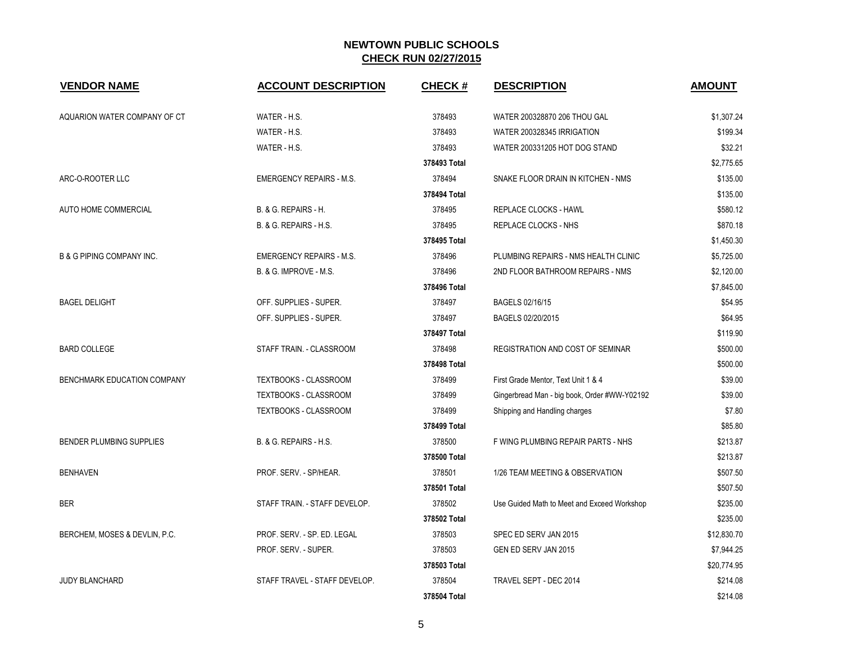| <b>VENDOR NAME</b>                   | <b>ACCOUNT DESCRIPTION</b>      | <b>CHECK#</b> | <b>DESCRIPTION</b>                           | <b>AMOUNT</b> |
|--------------------------------------|---------------------------------|---------------|----------------------------------------------|---------------|
| AQUARION WATER COMPANY OF CT         | WATER - H.S.                    | 378493        | WATER 200328870 206 THOU GAL                 | \$1.307.24    |
|                                      | WATER - H.S.                    | 378493        | WATER 200328345 IRRIGATION                   | \$199.34      |
|                                      | WATER - H.S.                    | 378493        | WATER 200331205 HOT DOG STAND                | \$32.21       |
|                                      |                                 | 378493 Total  |                                              | \$2,775.65    |
| ARC-O-ROOTER LLC                     | <b>EMERGENCY REPAIRS - M.S.</b> | 378494        | SNAKE FLOOR DRAIN IN KITCHEN - NMS           | \$135.00      |
|                                      |                                 | 378494 Total  |                                              | \$135.00      |
| AUTO HOME COMMERCIAL                 | B. & G. REPAIRS - H.            | 378495        | REPLACE CLOCKS - HAWL                        | \$580.12      |
|                                      | B. & G. REPAIRS - H.S.          | 378495        | REPLACE CLOCKS - NHS                         | \$870.18      |
|                                      |                                 | 378495 Total  |                                              | \$1,450.30    |
| <b>B &amp; G PIPING COMPANY INC.</b> | <b>EMERGENCY REPAIRS - M.S.</b> | 378496        | PLUMBING REPAIRS - NMS HEALTH CLINIC         | \$5,725.00    |
|                                      | B. & G. IMPROVE - M.S.          | 378496        | 2ND FLOOR BATHROOM REPAIRS - NMS             | \$2,120.00    |
|                                      |                                 | 378496 Total  |                                              | \$7,845.00    |
| <b>BAGEL DELIGHT</b>                 | OFF. SUPPLIES - SUPER.          | 378497        | BAGELS 02/16/15                              | \$54.95       |
|                                      | OFF. SUPPLIES - SUPER.          | 378497        | BAGELS 02/20/2015                            | \$64.95       |
|                                      |                                 | 378497 Total  |                                              | \$119.90      |
| <b>BARD COLLEGE</b>                  | STAFF TRAIN. - CLASSROOM        | 378498        | <b>REGISTRATION AND COST OF SEMINAR</b>      | \$500.00      |
|                                      |                                 | 378498 Total  |                                              | \$500.00      |
| BENCHMARK EDUCATION COMPANY          | <b>TEXTBOOKS - CLASSROOM</b>    | 378499        | First Grade Mentor, Text Unit 1 & 4          | \$39.00       |
|                                      | <b>TEXTBOOKS - CLASSROOM</b>    | 378499        | Gingerbread Man - big book, Order #WW-Y02192 | \$39.00       |
|                                      | TEXTBOOKS - CLASSROOM           | 378499        | Shipping and Handling charges                | \$7.80        |
|                                      |                                 | 378499 Total  |                                              | \$85.80       |
| <b>BENDER PLUMBING SUPPLIES</b>      | B. & G. REPAIRS - H.S.          | 378500        | F WING PLUMBING REPAIR PARTS - NHS           | \$213.87      |
|                                      |                                 | 378500 Total  |                                              | \$213.87      |
| <b>BENHAVEN</b>                      | PROF. SERV. - SP/HEAR.          | 378501        | 1/26 TEAM MEETING & OBSERVATION              | \$507.50      |
|                                      |                                 | 378501 Total  |                                              | \$507.50      |
| <b>BER</b>                           | STAFF TRAIN. - STAFF DEVELOP.   | 378502        | Use Guided Math to Meet and Exceed Workshop  | \$235.00      |
|                                      |                                 | 378502 Total  |                                              | \$235.00      |
| BERCHEM, MOSES & DEVLIN, P.C.        | PROF. SERV. - SP. ED. LEGAL     | 378503        | SPEC ED SERV JAN 2015                        | \$12,830.70   |
|                                      | PROF. SERV. - SUPER.            | 378503        | GEN ED SERV JAN 2015                         | \$7,944.25    |
|                                      |                                 | 378503 Total  |                                              | \$20,774.95   |
| <b>JUDY BLANCHARD</b>                | STAFF TRAVEL - STAFF DEVELOP.   | 378504        | TRAVEL SEPT - DEC 2014                       | \$214.08      |
|                                      |                                 | 378504 Total  |                                              | \$214.08      |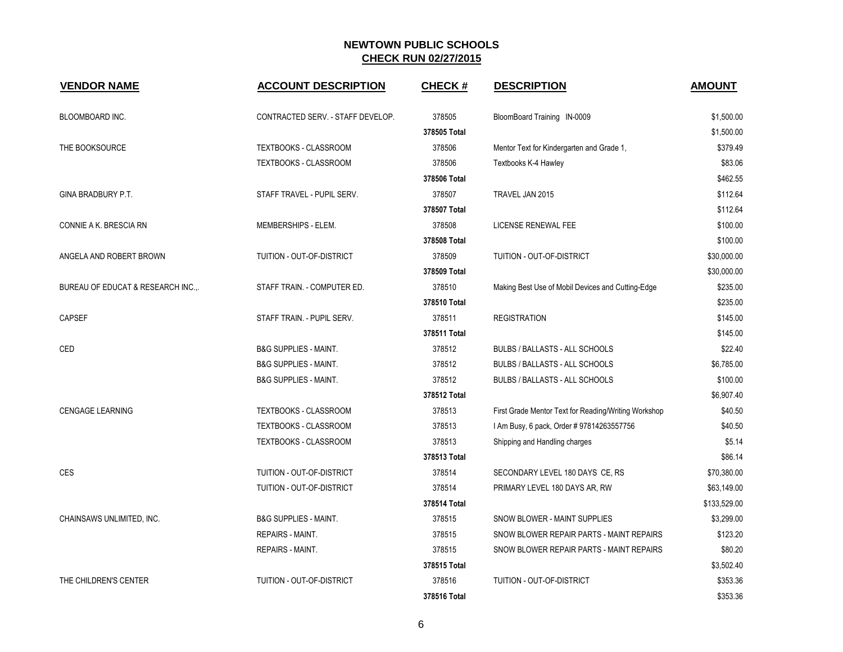| <b>VENDOR NAME</b>                 | <b>ACCOUNT DESCRIPTION</b>        | <b>CHECK#</b> | <b>DESCRIPTION</b>                                   | <b>AMOUNT</b> |
|------------------------------------|-----------------------------------|---------------|------------------------------------------------------|---------------|
| BLOOMBOARD INC.                    | CONTRACTED SERV. - STAFF DEVELOP. | 378505        | BloomBoard Training IN-0009                          | \$1,500.00    |
|                                    |                                   | 378505 Total  |                                                      | \$1,500.00    |
| THE BOOKSOURCE                     | <b>TEXTBOOKS - CLASSROOM</b>      | 378506        | Mentor Text for Kindergarten and Grade 1,            | \$379.49      |
|                                    | TEXTBOOKS - CLASSROOM             | 378506        | Textbooks K-4 Hawley                                 | \$83.06       |
|                                    |                                   | 378506 Total  |                                                      | \$462.55      |
| <b>GINA BRADBURY P.T.</b>          | STAFF TRAVEL - PUPIL SERV.        | 378507        | TRAVEL JAN 2015                                      | \$112.64      |
|                                    |                                   | 378507 Total  |                                                      | \$112.64      |
| CONNIE A K. BRESCIA RN             | MEMBERSHIPS - ELEM.               | 378508        | LICENSE RENEWAL FEE                                  | \$100.00      |
|                                    |                                   | 378508 Total  |                                                      | \$100.00      |
| ANGELA AND ROBERT BROWN            | TUITION - OUT-OF-DISTRICT         | 378509        | TUITION - OUT-OF-DISTRICT                            | \$30,000.00   |
|                                    |                                   | 378509 Total  |                                                      | \$30,000.00   |
| BUREAU OF EDUCAT & RESEARCH INC.,. | STAFF TRAIN. - COMPUTER ED.       | 378510        | Making Best Use of Mobil Devices and Cutting-Edge    | \$235.00      |
|                                    |                                   | 378510 Total  |                                                      | \$235.00      |
| <b>CAPSEF</b>                      | STAFF TRAIN. - PUPIL SERV.        | 378511        | <b>REGISTRATION</b>                                  | \$145.00      |
|                                    |                                   | 378511 Total  |                                                      | \$145.00      |
| CED                                | <b>B&amp;G SUPPLIES - MAINT.</b>  | 378512        | BULBS / BALLASTS - ALL SCHOOLS                       | \$22.40       |
|                                    | <b>B&amp;G SUPPLIES - MAINT.</b>  | 378512        | BULBS / BALLASTS - ALL SCHOOLS                       | \$6,785.00    |
|                                    | <b>B&amp;G SUPPLIES - MAINT.</b>  | 378512        | BULBS / BALLASTS - ALL SCHOOLS                       | \$100.00      |
|                                    |                                   | 378512 Total  |                                                      | \$6,907.40    |
| <b>CENGAGE LEARNING</b>            | TEXTBOOKS - CLASSROOM             | 378513        | First Grade Mentor Text for Reading/Writing Workshop | \$40.50       |
|                                    | <b>TEXTBOOKS - CLASSROOM</b>      | 378513        | I Am Busy, 6 pack, Order # 97814263557756            | \$40.50       |
|                                    | TEXTBOOKS - CLASSROOM             | 378513        | Shipping and Handling charges                        | \$5.14        |
|                                    |                                   | 378513 Total  |                                                      | \$86.14       |
| <b>CES</b>                         | TUITION - OUT-OF-DISTRICT         | 378514        | SECONDARY LEVEL 180 DAYS CE, RS                      | \$70,380.00   |
|                                    | TUITION - OUT-OF-DISTRICT         | 378514        | PRIMARY LEVEL 180 DAYS AR, RW                        | \$63,149.00   |
|                                    |                                   | 378514 Total  |                                                      | \$133,529.00  |
| CHAINSAWS UNLIMITED, INC.          | <b>B&amp;G SUPPLIES - MAINT.</b>  | 378515        | SNOW BLOWER - MAINT SUPPLIES                         | \$3,299.00    |
|                                    | <b>REPAIRS - MAINT.</b>           | 378515        | SNOW BLOWER REPAIR PARTS - MAINT REPAIRS             | \$123.20      |
|                                    | <b>REPAIRS - MAINT.</b>           | 378515        | SNOW BLOWER REPAIR PARTS - MAINT REPAIRS             | \$80.20       |
|                                    |                                   | 378515 Total  |                                                      | \$3,502.40    |
| THE CHILDREN'S CENTER              | TUITION - OUT-OF-DISTRICT         | 378516        | <b>TUITION - OUT-OF-DISTRICT</b>                     | \$353.36      |
|                                    |                                   | 378516 Total  |                                                      | \$353.36      |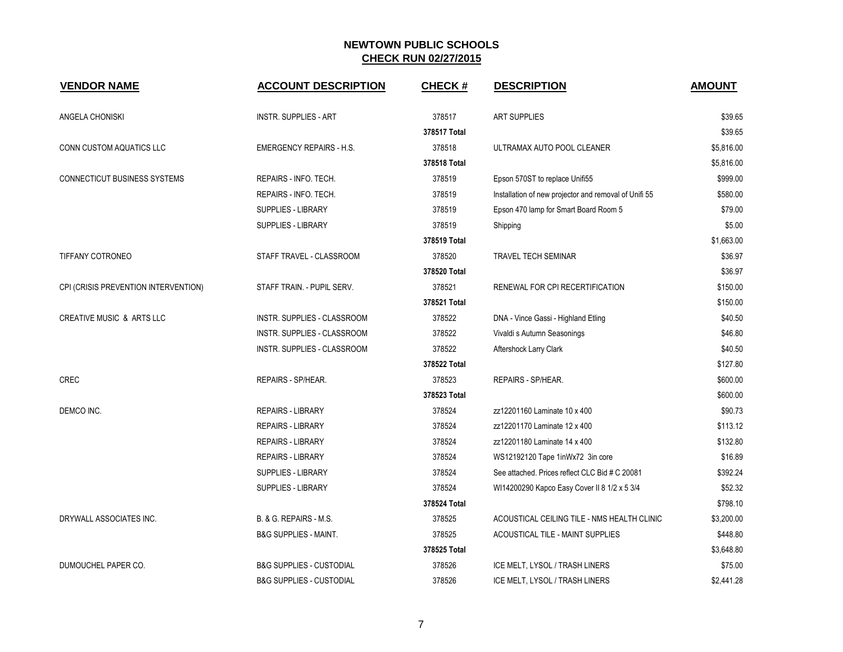| <b>VENDOR NAME</b>                   | <b>ACCOUNT DESCRIPTION</b>          | <b>CHECK#</b> | <b>DESCRIPTION</b>                                    | <b>AMOUNT</b> |
|--------------------------------------|-------------------------------------|---------------|-------------------------------------------------------|---------------|
| ANGELA CHONISKI                      | <b>INSTR. SUPPLIES - ART</b>        | 378517        | <b>ART SUPPLIES</b>                                   | \$39.65       |
|                                      |                                     | 378517 Total  |                                                       | \$39.65       |
| CONN CUSTOM AQUATICS LLC             | <b>EMERGENCY REPAIRS - H.S.</b>     | 378518        | ULTRAMAX AUTO POOL CLEANER                            | \$5,816.00    |
|                                      |                                     | 378518 Total  |                                                       | \$5,816.00    |
| CONNECTICUT BUSINESS SYSTEMS         | REPAIRS - INFO. TECH.               | 378519        | Epson 570ST to replace Unifi55                        | \$999.00      |
|                                      | REPAIRS - INFO. TECH.               | 378519        | Installation of new projector and removal of Unifi 55 | \$580.00      |
|                                      | <b>SUPPLIES - LIBRARY</b>           | 378519        | Epson 470 lamp for Smart Board Room 5                 | \$79.00       |
|                                      | <b>SUPPLIES - LIBRARY</b>           | 378519        | Shipping                                              | \$5.00        |
|                                      |                                     | 378519 Total  |                                                       | \$1,663.00    |
| TIFFANY COTRONEO                     | STAFF TRAVEL - CLASSROOM            | 378520        | <b>TRAVEL TECH SEMINAR</b>                            | \$36.97       |
|                                      |                                     | 378520 Total  |                                                       | \$36.97       |
| CPI (CRISIS PREVENTION INTERVENTION) | STAFF TRAIN. - PUPIL SERV.          | 378521        | RENEWAL FOR CPI RECERTIFICATION                       | \$150.00      |
|                                      |                                     | 378521 Total  |                                                       | \$150.00      |
| <b>CREATIVE MUSIC &amp; ARTS LLC</b> | INSTR. SUPPLIES - CLASSROOM         | 378522        | DNA - Vince Gassi - Highland Etling                   | \$40.50       |
|                                      | INSTR. SUPPLIES - CLASSROOM         | 378522        | Vivaldi s Autumn Seasonings                           | \$46.80       |
|                                      | INSTR. SUPPLIES - CLASSROOM         | 378522        | Aftershock Larry Clark                                | \$40.50       |
|                                      |                                     | 378522 Total  |                                                       | \$127.80      |
| <b>CREC</b>                          | REPAIRS - SP/HEAR.                  | 378523        | REPAIRS - SP/HEAR.                                    | \$600.00      |
|                                      |                                     | 378523 Total  |                                                       | \$600.00      |
| DEMCO INC.                           | <b>REPAIRS - LIBRARY</b>            | 378524        | zz12201160 Laminate 10 x 400                          | \$90.73       |
|                                      | <b>REPAIRS - LIBRARY</b>            | 378524        | zz12201170 Laminate 12 x 400                          | \$113.12      |
|                                      | <b>REPAIRS - LIBRARY</b>            | 378524        | zz12201180 Laminate 14 x 400                          | \$132.80      |
|                                      | <b>REPAIRS - LIBRARY</b>            | 378524        | WS12192120 Tape 1inWx72 3in core                      | \$16.89       |
|                                      | <b>SUPPLIES - LIBRARY</b>           | 378524        | See attached. Prices reflect CLC Bid # C 20081        | \$392.24      |
|                                      | <b>SUPPLIES - LIBRARY</b>           | 378524        | WI14200290 Kapco Easy Cover II 8 1/2 x 5 3/4          | \$52.32       |
|                                      |                                     | 378524 Total  |                                                       | \$798.10      |
| DRYWALL ASSOCIATES INC.              | B. & G. REPAIRS - M.S.              | 378525        | ACOUSTICAL CEILING TILE - NMS HEALTH CLINIC           | \$3,200.00    |
|                                      | <b>B&amp;G SUPPLIES - MAINT.</b>    | 378525        | ACOUSTICAL TILE - MAINT SUPPLIES                      | \$448.80      |
|                                      |                                     | 378525 Total  |                                                       | \$3,648.80    |
| DUMOUCHEL PAPER CO.                  | <b>B&amp;G SUPPLIES - CUSTODIAL</b> | 378526        | ICE MELT, LYSOL / TRASH LINERS                        | \$75.00       |
|                                      | <b>B&amp;G SUPPLIES - CUSTODIAL</b> | 378526        | ICE MELT, LYSOL / TRASH LINERS                        | \$2,441.28    |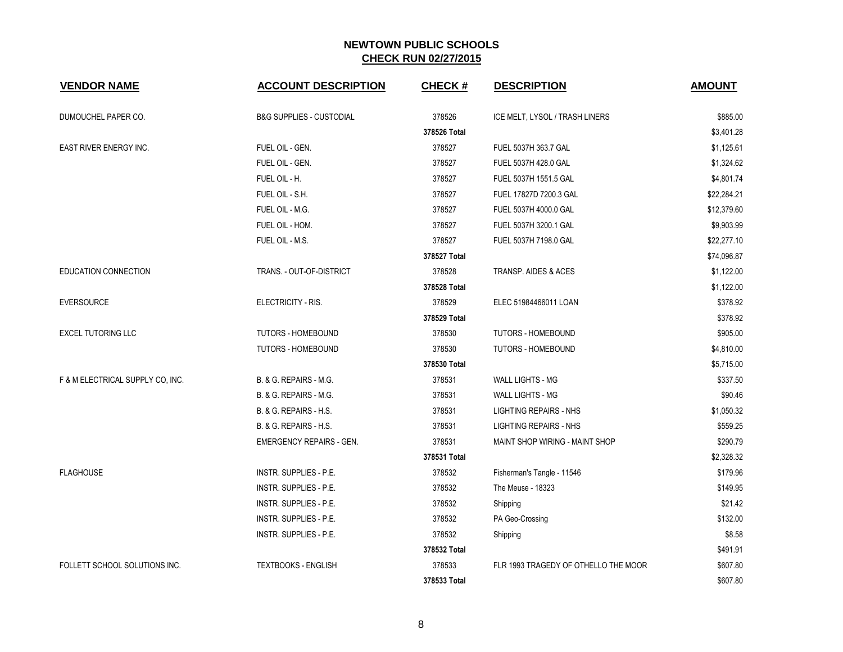| <b>VENDOR NAME</b>               | <b>ACCOUNT DESCRIPTION</b>          | <b>CHECK#</b> | <b>DESCRIPTION</b>                   | <b>AMOUNT</b> |
|----------------------------------|-------------------------------------|---------------|--------------------------------------|---------------|
| DUMOUCHEL PAPER CO.              | <b>B&amp;G SUPPLIES - CUSTODIAL</b> | 378526        | ICE MELT, LYSOL / TRASH LINERS       | \$885.00      |
|                                  |                                     | 378526 Total  |                                      | \$3,401.28    |
| EAST RIVER ENERGY INC.           | FUEL OIL - GEN.                     | 378527        | FUEL 5037H 363.7 GAL                 | \$1,125.61    |
|                                  | FUEL OIL - GEN.                     | 378527        | FUEL 5037H 428.0 GAL                 | \$1,324.62    |
|                                  | FUEL OIL - H.                       | 378527        | FUEL 5037H 1551.5 GAL                | \$4,801.74    |
|                                  | FUEL OIL - S.H.                     | 378527        | FUEL 17827D 7200.3 GAL               | \$22,284.21   |
|                                  | FUEL OIL - M.G.                     | 378527        | FUEL 5037H 4000.0 GAL                | \$12,379.60   |
|                                  | FUEL OIL - HOM.                     | 378527        | FUEL 5037H 3200.1 GAL                | \$9,903.99    |
|                                  | FUEL OIL - M.S.                     | 378527        | FUEL 5037H 7198.0 GAL                | \$22,277.10   |
|                                  |                                     | 378527 Total  |                                      | \$74,096.87   |
| EDUCATION CONNECTION             | TRANS. - OUT-OF-DISTRICT            | 378528        | TRANSP. AIDES & ACES                 | \$1,122.00    |
|                                  |                                     | 378528 Total  |                                      | \$1,122.00    |
| <b>EVERSOURCE</b>                | ELECTRICITY - RIS.                  | 378529        | ELEC 51984466011 LOAN                | \$378.92      |
|                                  |                                     | 378529 Total  |                                      | \$378.92      |
| <b>EXCEL TUTORING LLC</b>        | <b>TUTORS - HOMEBOUND</b>           | 378530        | <b>TUTORS - HOMEBOUND</b>            | \$905.00      |
|                                  | <b>TUTORS - HOMEBOUND</b>           | 378530        | <b>TUTORS - HOMEBOUND</b>            | \$4,810.00    |
|                                  |                                     | 378530 Total  |                                      | \$5,715.00    |
| F & M ELECTRICAL SUPPLY CO, INC. | B. & G. REPAIRS - M.G.              | 378531        | <b>WALL LIGHTS - MG</b>              | \$337.50      |
|                                  | B. & G. REPAIRS - M.G.              | 378531        | <b>WALL LIGHTS - MG</b>              | \$90.46       |
|                                  | B. & G. REPAIRS - H.S.              | 378531        | <b>LIGHTING REPAIRS - NHS</b>        | \$1,050.32    |
|                                  | B. & G. REPAIRS - H.S.              | 378531        | <b>LIGHTING REPAIRS - NHS</b>        | \$559.25      |
|                                  | <b>EMERGENCY REPAIRS - GEN.</b>     | 378531        | MAINT SHOP WIRING - MAINT SHOP       | \$290.79      |
|                                  |                                     | 378531 Total  |                                      | \$2,328.32    |
| <b>FLAGHOUSE</b>                 | INSTR. SUPPLIES - P.E.              | 378532        | Fisherman's Tangle - 11546           | \$179.96      |
|                                  | INSTR. SUPPLIES - P.E.              | 378532        | The Meuse - 18323                    | \$149.95      |
|                                  | INSTR. SUPPLIES - P.E.              | 378532        | Shipping                             | \$21.42       |
|                                  | INSTR. SUPPLIES - P.E.              | 378532        | PA Geo-Crossing                      | \$132.00      |
|                                  | INSTR. SUPPLIES - P.E.              | 378532        | Shipping                             | \$8.58        |
|                                  |                                     | 378532 Total  |                                      | \$491.91      |
| FOLLETT SCHOOL SOLUTIONS INC.    | <b>TEXTBOOKS - ENGLISH</b>          | 378533        | FLR 1993 TRAGEDY OF OTHELLO THE MOOR | \$607.80      |
|                                  |                                     | 378533 Total  |                                      | \$607.80      |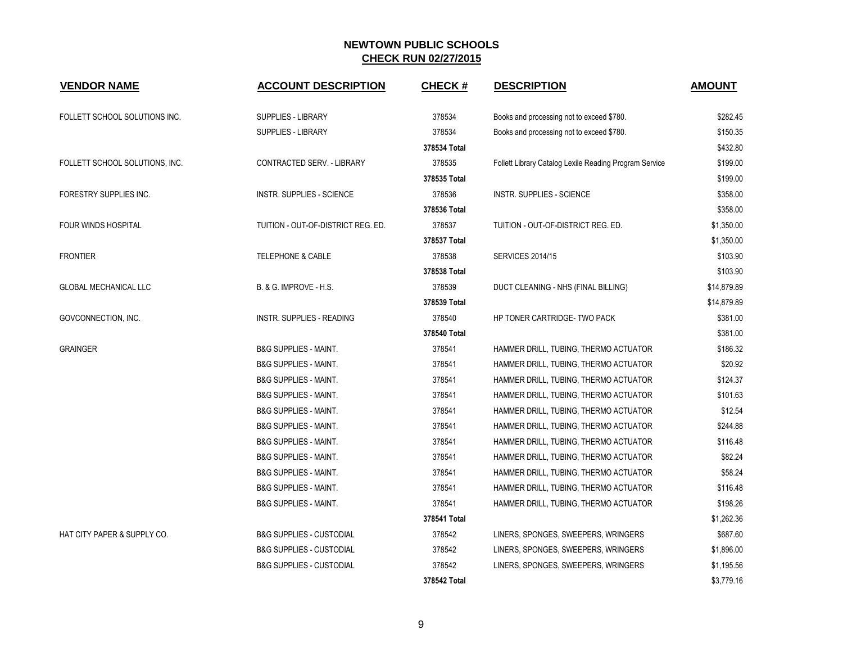| <b>VENDOR NAME</b>             | <b>ACCOUNT DESCRIPTION</b>          | <b>CHECK#</b> | <b>DESCRIPTION</b>                                     | <b>AMOUNT</b> |
|--------------------------------|-------------------------------------|---------------|--------------------------------------------------------|---------------|
| FOLLETT SCHOOL SOLUTIONS INC.  | <b>SUPPLIES - LIBRARY</b>           | 378534        | Books and processing not to exceed \$780.              | \$282.45      |
|                                | <b>SUPPLIES - LIBRARY</b>           | 378534        | Books and processing not to exceed \$780.              | \$150.35      |
|                                |                                     | 378534 Total  |                                                        | \$432.80      |
| FOLLETT SCHOOL SOLUTIONS, INC. | <b>CONTRACTED SERV. - LIBRARY</b>   | 378535        | Follett Library Catalog Lexile Reading Program Service | \$199.00      |
|                                |                                     | 378535 Total  |                                                        | \$199.00      |
| FORESTRY SUPPLIES INC.         | <b>INSTR. SUPPLIES - SCIENCE</b>    | 378536        | <b>INSTR. SUPPLIES - SCIENCE</b>                       | \$358.00      |
|                                |                                     | 378536 Total  |                                                        | \$358.00      |
| <b>FOUR WINDS HOSPITAL</b>     | TUITION - OUT-OF-DISTRICT REG. ED.  | 378537        | TUITION - OUT-OF-DISTRICT REG. ED.                     | \$1,350.00    |
|                                |                                     | 378537 Total  |                                                        | \$1,350.00    |
| <b>FRONTIER</b>                | <b>TELEPHONE &amp; CABLE</b>        | 378538        | <b>SERVICES 2014/15</b>                                | \$103.90      |
|                                |                                     | 378538 Total  |                                                        | \$103.90      |
| <b>GLOBAL MECHANICAL LLC</b>   | B. & G. IMPROVE - H.S.              | 378539        | DUCT CLEANING - NHS (FINAL BILLING)                    | \$14,879.89   |
|                                |                                     | 378539 Total  |                                                        | \$14,879.89   |
| GOVCONNECTION, INC.            | INSTR. SUPPLIES - READING           | 378540        | HP TONER CARTRIDGE- TWO PACK                           | \$381.00      |
|                                |                                     | 378540 Total  |                                                        | \$381.00      |
| <b>GRAINGER</b>                | <b>B&amp;G SUPPLIES - MAINT.</b>    | 378541        | HAMMER DRILL, TUBING, THERMO ACTUATOR                  | \$186.32      |
|                                | <b>B&amp;G SUPPLIES - MAINT.</b>    | 378541        | HAMMER DRILL, TUBING, THERMO ACTUATOR                  | \$20.92       |
|                                | <b>B&amp;G SUPPLIES - MAINT.</b>    | 378541        | HAMMER DRILL, TUBING, THERMO ACTUATOR                  | \$124.37      |
|                                | <b>B&amp;G SUPPLIES - MAINT.</b>    | 378541        | HAMMER DRILL, TUBING, THERMO ACTUATOR                  | \$101.63      |
|                                | <b>B&amp;G SUPPLIES - MAINT.</b>    | 378541        | HAMMER DRILL, TUBING, THERMO ACTUATOR                  | \$12.54       |
|                                | <b>B&amp;G SUPPLIES - MAINT.</b>    | 378541        | HAMMER DRILL, TUBING, THERMO ACTUATOR                  | \$244.88      |
|                                | <b>B&amp;G SUPPLIES - MAINT.</b>    | 378541        | HAMMER DRILL, TUBING, THERMO ACTUATOR                  | \$116.48      |
|                                | <b>B&amp;G SUPPLIES - MAINT.</b>    | 378541        | HAMMER DRILL, TUBING, THERMO ACTUATOR                  | \$82.24       |
|                                | <b>B&amp;G SUPPLIES - MAINT.</b>    | 378541        | HAMMER DRILL, TUBING, THERMO ACTUATOR                  | \$58.24       |
|                                | <b>B&amp;G SUPPLIES - MAINT.</b>    | 378541        | HAMMER DRILL, TUBING, THERMO ACTUATOR                  | \$116.48      |
|                                | <b>B&amp;G SUPPLIES - MAINT.</b>    | 378541        | HAMMER DRILL, TUBING, THERMO ACTUATOR                  | \$198.26      |
|                                |                                     | 378541 Total  |                                                        | \$1,262.36    |
| HAT CITY PAPER & SUPPLY CO.    | <b>B&amp;G SUPPLIES - CUSTODIAL</b> | 378542        | LINERS, SPONGES, SWEEPERS, WRINGERS                    | \$687.60      |
|                                | <b>B&amp;G SUPPLIES - CUSTODIAL</b> | 378542        | LINERS, SPONGES, SWEEPERS, WRINGERS                    | \$1,896.00    |
|                                | <b>B&amp;G SUPPLIES - CUSTODIAL</b> | 378542        | LINERS, SPONGES, SWEEPERS, WRINGERS                    | \$1,195.56    |
|                                |                                     | 378542 Total  |                                                        | \$3,779.16    |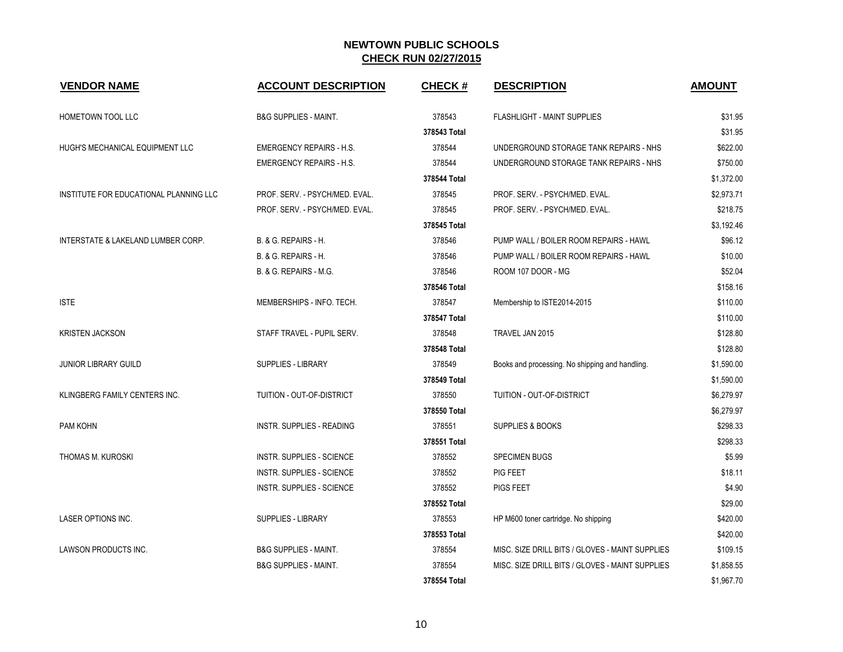| <b>VENDOR NAME</b>                     | <b>ACCOUNT DESCRIPTION</b>       | <b>CHECK#</b> | <b>DESCRIPTION</b>                              | <b>AMOUNT</b> |
|----------------------------------------|----------------------------------|---------------|-------------------------------------------------|---------------|
| HOMETOWN TOOL LLC                      | <b>B&amp;G SUPPLIES - MAINT.</b> | 378543        | FLASHLIGHT - MAINT SUPPLIES                     | \$31.95       |
|                                        |                                  | 378543 Total  |                                                 | \$31.95       |
| HUGH'S MECHANICAL EQUIPMENT LLC        | <b>EMERGENCY REPAIRS - H.S.</b>  | 378544        | UNDERGROUND STORAGE TANK REPAIRS - NHS          | \$622.00      |
|                                        | <b>EMERGENCY REPAIRS - H.S.</b>  | 378544        | UNDERGROUND STORAGE TANK REPAIRS - NHS          | \$750.00      |
|                                        |                                  | 378544 Total  |                                                 | \$1,372.00    |
| INSTITUTE FOR EDUCATIONAL PLANNING LLC | PROF. SERV. - PSYCH/MED. EVAL.   | 378545        | PROF. SERV. - PSYCH/MED. EVAL.                  | \$2,973.71    |
|                                        | PROF. SERV. - PSYCH/MED. EVAL.   | 378545        | PROF. SERV. - PSYCH/MED. EVAL.                  | \$218.75      |
|                                        |                                  | 378545 Total  |                                                 | \$3,192.46    |
| INTERSTATE & LAKELAND LUMBER CORP.     | <b>B. &amp; G. REPAIRS - H.</b>  | 378546        | PUMP WALL / BOILER ROOM REPAIRS - HAWL          | \$96.12       |
|                                        | <b>B. &amp; G. REPAIRS - H.</b>  | 378546        | PUMP WALL / BOILER ROOM REPAIRS - HAWL          | \$10.00       |
|                                        | B. & G. REPAIRS - M.G.           | 378546        | ROOM 107 DOOR - MG                              | \$52.04       |
|                                        |                                  | 378546 Total  |                                                 | \$158.16      |
| <b>ISTE</b>                            | MEMBERSHIPS - INFO. TECH.        | 378547        | Membership to ISTE2014-2015                     | \$110.00      |
|                                        |                                  | 378547 Total  |                                                 | \$110.00      |
| <b>KRISTEN JACKSON</b>                 | STAFF TRAVEL - PUPIL SERV.       | 378548        | TRAVEL JAN 2015                                 | \$128.80      |
|                                        |                                  | 378548 Total  |                                                 | \$128.80      |
| JUNIOR LIBRARY GUILD                   | <b>SUPPLIES - LIBRARY</b>        | 378549        | Books and processing. No shipping and handling. | \$1,590.00    |
|                                        |                                  | 378549 Total  |                                                 | \$1,590.00    |
| KLINGBERG FAMILY CENTERS INC.          | TUITION - OUT-OF-DISTRICT        | 378550        | TUITION - OUT-OF-DISTRICT                       | \$6,279.97    |
|                                        |                                  | 378550 Total  |                                                 | \$6,279.97    |
| PAM KOHN                               | <b>INSTR. SUPPLIES - READING</b> | 378551        | <b>SUPPLIES &amp; BOOKS</b>                     | \$298.33      |
|                                        |                                  | 378551 Total  |                                                 | \$298.33      |
| THOMAS M. KUROSKI                      | <b>INSTR. SUPPLIES - SCIENCE</b> | 378552        | <b>SPECIMEN BUGS</b>                            | \$5.99        |
|                                        | <b>INSTR. SUPPLIES - SCIENCE</b> | 378552        | PIG FEET                                        | \$18.11       |
|                                        | <b>INSTR. SUPPLIES - SCIENCE</b> | 378552        | <b>PIGS FEET</b>                                | \$4.90        |
|                                        |                                  | 378552 Total  |                                                 | \$29.00       |
| LASER OPTIONS INC.                     | <b>SUPPLIES - LIBRARY</b>        | 378553        | HP M600 toner cartridge. No shipping            | \$420.00      |
|                                        |                                  | 378553 Total  |                                                 | \$420.00      |
| LAWSON PRODUCTS INC.                   | <b>B&amp;G SUPPLIES - MAINT.</b> | 378554        | MISC. SIZE DRILL BITS / GLOVES - MAINT SUPPLIES | \$109.15      |
|                                        | <b>B&amp;G SUPPLIES - MAINT.</b> | 378554        | MISC. SIZE DRILL BITS / GLOVES - MAINT SUPPLIES | \$1,858.55    |
|                                        |                                  | 378554 Total  |                                                 | \$1,967.70    |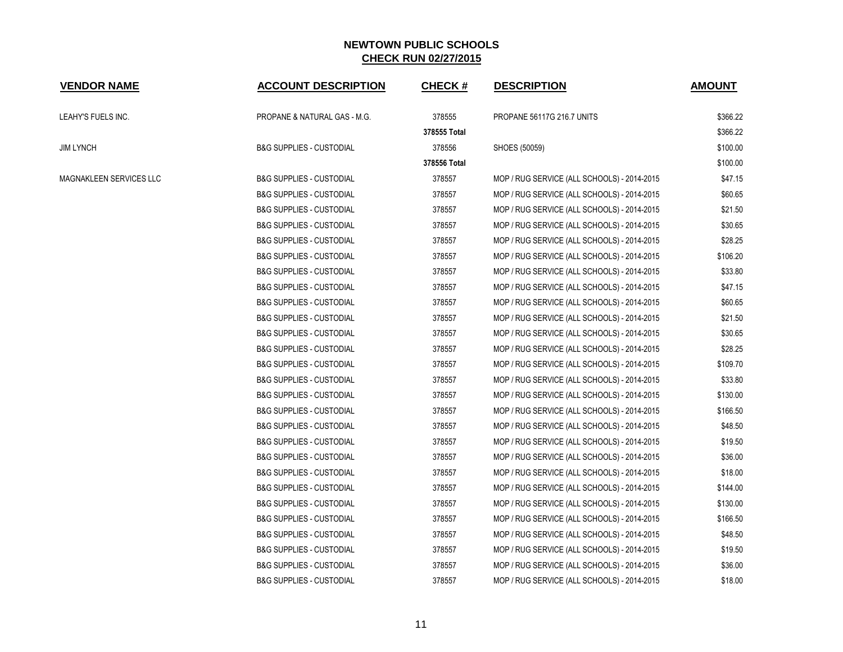| <b>VENDOR NAME</b>      | <b>ACCOUNT DESCRIPTION</b>          | <b>CHECK#</b> | <b>DESCRIPTION</b>                          | <b>AMOUNT</b> |
|-------------------------|-------------------------------------|---------------|---------------------------------------------|---------------|
| LEAHY'S FUELS INC.      | PROPANE & NATURAL GAS - M.G.        | 378555        | <b>PROPANE 56117G 216.7 UNITS</b>           | \$366.22      |
|                         |                                     | 378555 Total  |                                             | \$366.22      |
| <b>JIM LYNCH</b>        | <b>B&amp;G SUPPLIES - CUSTODIAL</b> | 378556        | SHOES (50059)                               | \$100.00      |
|                         |                                     | 378556 Total  |                                             | \$100.00      |
| MAGNAKLEEN SERVICES LLC | <b>B&amp;G SUPPLIES - CUSTODIAL</b> | 378557        | MOP / RUG SERVICE (ALL SCHOOLS) - 2014-2015 | \$47.15       |
|                         | <b>B&amp;G SUPPLIES - CUSTODIAL</b> | 378557        | MOP / RUG SERVICE (ALL SCHOOLS) - 2014-2015 | \$60.65       |
|                         | <b>B&amp;G SUPPLIES - CUSTODIAL</b> | 378557        | MOP / RUG SERVICE (ALL SCHOOLS) - 2014-2015 | \$21.50       |
|                         | <b>B&amp;G SUPPLIES - CUSTODIAL</b> | 378557        | MOP / RUG SERVICE (ALL SCHOOLS) - 2014-2015 | \$30.65       |
|                         | <b>B&amp;G SUPPLIES - CUSTODIAL</b> | 378557        | MOP / RUG SERVICE (ALL SCHOOLS) - 2014-2015 | \$28.25       |
|                         | <b>B&amp;G SUPPLIES - CUSTODIAL</b> | 378557        | MOP / RUG SERVICE (ALL SCHOOLS) - 2014-2015 | \$106.20      |
|                         | <b>B&amp;G SUPPLIES - CUSTODIAL</b> | 378557        | MOP / RUG SERVICE (ALL SCHOOLS) - 2014-2015 | \$33.80       |
|                         | <b>B&amp;G SUPPLIES - CUSTODIAL</b> | 378557        | MOP / RUG SERVICE (ALL SCHOOLS) - 2014-2015 | \$47.15       |
|                         | <b>B&amp;G SUPPLIES - CUSTODIAL</b> | 378557        | MOP / RUG SERVICE (ALL SCHOOLS) - 2014-2015 | \$60.65       |
|                         | <b>B&amp;G SUPPLIES - CUSTODIAL</b> | 378557        | MOP / RUG SERVICE (ALL SCHOOLS) - 2014-2015 | \$21.50       |
|                         | <b>B&amp;G SUPPLIES - CUSTODIAL</b> | 378557        | MOP / RUG SERVICE (ALL SCHOOLS) - 2014-2015 | \$30.65       |
|                         | <b>B&amp;G SUPPLIES - CUSTODIAL</b> | 378557        | MOP / RUG SERVICE (ALL SCHOOLS) - 2014-2015 | \$28.25       |
|                         | <b>B&amp;G SUPPLIES - CUSTODIAL</b> | 378557        | MOP / RUG SERVICE (ALL SCHOOLS) - 2014-2015 | \$109.70      |
|                         | <b>B&amp;G SUPPLIES - CUSTODIAL</b> | 378557        | MOP / RUG SERVICE (ALL SCHOOLS) - 2014-2015 | \$33.80       |
|                         | <b>B&amp;G SUPPLIES - CUSTODIAL</b> | 378557        | MOP / RUG SERVICE (ALL SCHOOLS) - 2014-2015 | \$130.00      |
|                         | <b>B&amp;G SUPPLIES - CUSTODIAL</b> | 378557        | MOP / RUG SERVICE (ALL SCHOOLS) - 2014-2015 | \$166.50      |
|                         | <b>B&amp;G SUPPLIES - CUSTODIAL</b> | 378557        | MOP / RUG SERVICE (ALL SCHOOLS) - 2014-2015 | \$48.50       |
|                         | <b>B&amp;G SUPPLIES - CUSTODIAL</b> | 378557        | MOP / RUG SERVICE (ALL SCHOOLS) - 2014-2015 | \$19.50       |
|                         | <b>B&amp;G SUPPLIES - CUSTODIAL</b> | 378557        | MOP / RUG SERVICE (ALL SCHOOLS) - 2014-2015 | \$36.00       |
|                         | <b>B&amp;G SUPPLIES - CUSTODIAL</b> | 378557        | MOP / RUG SERVICE (ALL SCHOOLS) - 2014-2015 | \$18.00       |
|                         | <b>B&amp;G SUPPLIES - CUSTODIAL</b> | 378557        | MOP / RUG SERVICE (ALL SCHOOLS) - 2014-2015 | \$144.00      |
|                         | <b>B&amp;G SUPPLIES - CUSTODIAL</b> | 378557        | MOP / RUG SERVICE (ALL SCHOOLS) - 2014-2015 | \$130.00      |
|                         | <b>B&amp;G SUPPLIES - CUSTODIAL</b> | 378557        | MOP / RUG SERVICE (ALL SCHOOLS) - 2014-2015 | \$166.50      |
|                         | <b>B&amp;G SUPPLIES - CUSTODIAL</b> | 378557        | MOP / RUG SERVICE (ALL SCHOOLS) - 2014-2015 | \$48.50       |
|                         | <b>B&amp;G SUPPLIES - CUSTODIAL</b> | 378557        | MOP / RUG SERVICE (ALL SCHOOLS) - 2014-2015 | \$19.50       |
|                         | <b>B&amp;G SUPPLIES - CUSTODIAL</b> | 378557        | MOP / RUG SERVICE (ALL SCHOOLS) - 2014-2015 | \$36.00       |
|                         | <b>B&amp;G SUPPLIES - CUSTODIAL</b> | 378557        | MOP / RUG SERVICE (ALL SCHOOLS) - 2014-2015 | \$18.00       |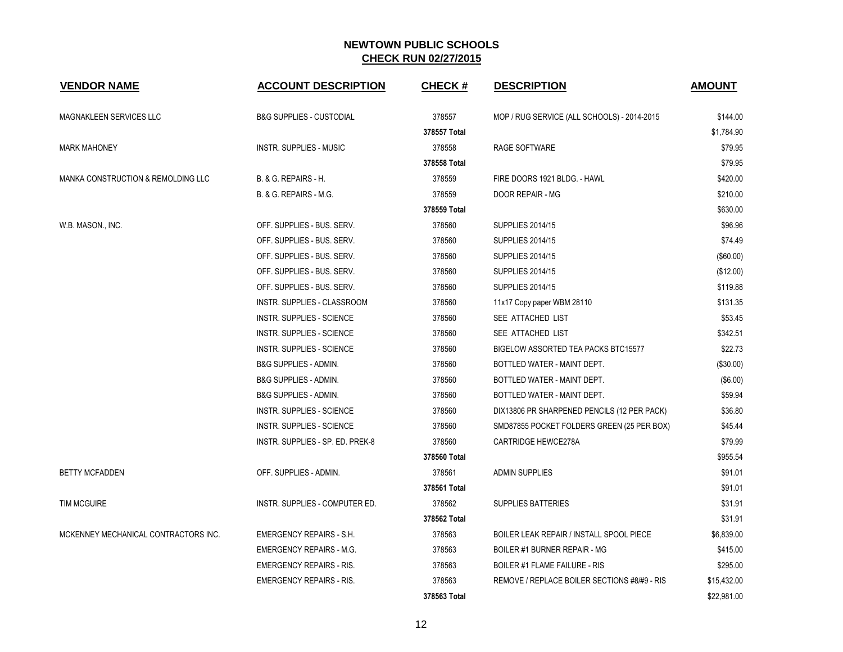| <b>VENDOR NAME</b>                   | <b>ACCOUNT DESCRIPTION</b>          | <b>CHECK#</b> | <b>DESCRIPTION</b>                           | <b>AMOUNT</b> |
|--------------------------------------|-------------------------------------|---------------|----------------------------------------------|---------------|
| MAGNAKLEEN SERVICES LLC              | <b>B&amp;G SUPPLIES - CUSTODIAL</b> | 378557        | MOP / RUG SERVICE (ALL SCHOOLS) - 2014-2015  | \$144.00      |
|                                      |                                     | 378557 Total  |                                              | \$1,784.90    |
| <b>MARK MAHONEY</b>                  | INSTR. SUPPLIES - MUSIC             | 378558        | RAGE SOFTWARE                                | \$79.95       |
|                                      |                                     | 378558 Total  |                                              | \$79.95       |
| MANKA CONSTRUCTION & REMOLDING LLC   | B. & G. REPAIRS - H.                | 378559        | FIRE DOORS 1921 BLDG. - HAWL                 | \$420.00      |
|                                      | B. & G. REPAIRS - M.G.              | 378559        | DOOR REPAIR - MG                             | \$210.00      |
|                                      |                                     | 378559 Total  |                                              | \$630.00      |
| W.B. MASON., INC.                    | OFF. SUPPLIES - BUS. SERV.          | 378560        | <b>SUPPLIES 2014/15</b>                      | \$96.96       |
|                                      | OFF. SUPPLIES - BUS. SERV.          | 378560        | <b>SUPPLIES 2014/15</b>                      | \$74.49       |
|                                      | OFF. SUPPLIES - BUS. SERV.          | 378560        | <b>SUPPLIES 2014/15</b>                      | (\$60.00)     |
|                                      | OFF. SUPPLIES - BUS. SERV.          | 378560        | <b>SUPPLIES 2014/15</b>                      | (\$12.00)     |
|                                      | OFF. SUPPLIES - BUS. SERV.          | 378560        | <b>SUPPLIES 2014/15</b>                      | \$119.88      |
|                                      | INSTR. SUPPLIES - CLASSROOM         | 378560        | 11x17 Copy paper WBM 28110                   | \$131.35      |
|                                      | <b>INSTR. SUPPLIES - SCIENCE</b>    | 378560        | SEE ATTACHED LIST                            | \$53.45       |
|                                      | <b>INSTR. SUPPLIES - SCIENCE</b>    | 378560        | SEE ATTACHED LIST                            | \$342.51      |
|                                      | <b>INSTR. SUPPLIES - SCIENCE</b>    | 378560        | <b>BIGELOW ASSORTED TEA PACKS BTC15577</b>   | \$22.73       |
|                                      | <b>B&amp;G SUPPLIES - ADMIN.</b>    | 378560        | BOTTLED WATER - MAINT DEPT.                  | (\$30.00)     |
|                                      | <b>B&amp;G SUPPLIES - ADMIN.</b>    | 378560        | BOTTLED WATER - MAINT DEPT.                  | (\$6.00)      |
|                                      | <b>B&amp;G SUPPLIES - ADMIN.</b>    | 378560        | BOTTLED WATER - MAINT DEPT.                  | \$59.94       |
|                                      | <b>INSTR. SUPPLIES - SCIENCE</b>    | 378560        | DIX13806 PR SHARPENED PENCILS (12 PER PACK)  | \$36.80       |
|                                      | INSTR. SUPPLIES - SCIENCE           | 378560        | SMD87855 POCKET FOLDERS GREEN (25 PER BOX)   | \$45.44       |
|                                      | INSTR. SUPPLIES - SP. ED. PREK-8    | 378560        | CARTRIDGE HEWCE278A                          | \$79.99       |
|                                      |                                     | 378560 Total  |                                              | \$955.54      |
| <b>BETTY MCFADDEN</b>                | OFF. SUPPLIES - ADMIN.              | 378561        | <b>ADMIN SUPPLIES</b>                        | \$91.01       |
|                                      |                                     | 378561 Total  |                                              | \$91.01       |
| <b>TIM MCGUIRE</b>                   | INSTR. SUPPLIES - COMPUTER ED.      | 378562        | <b>SUPPLIES BATTERIES</b>                    | \$31.91       |
|                                      |                                     | 378562 Total  |                                              | \$31.91       |
| MCKENNEY MECHANICAL CONTRACTORS INC. | <b>EMERGENCY REPAIRS - S.H.</b>     | 378563        | BOILER LEAK REPAIR / INSTALL SPOOL PIECE     | \$6,839.00    |
|                                      | <b>EMERGENCY REPAIRS - M.G.</b>     | 378563        | <b>BOILER #1 BURNER REPAIR - MG</b>          | \$415.00      |
|                                      | <b>EMERGENCY REPAIRS - RIS.</b>     | 378563        | <b>BOILER #1 FLAME FAILURE - RIS</b>         | \$295.00      |
|                                      | <b>EMERGENCY REPAIRS - RIS.</b>     | 378563        | REMOVE / REPLACE BOILER SECTIONS #8/#9 - RIS | \$15,432.00   |
|                                      |                                     | 378563 Total  |                                              | \$22,981.00   |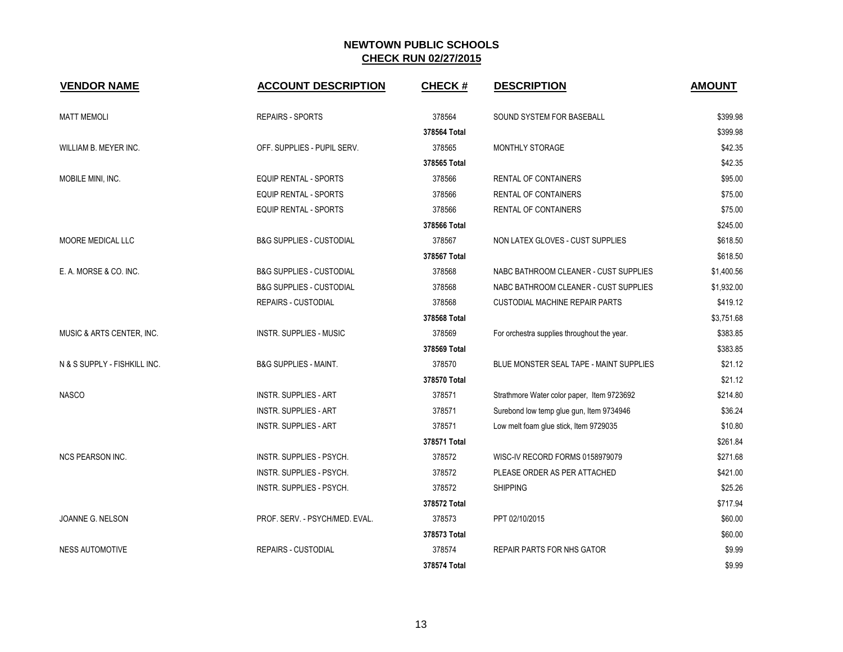| <b>VENDOR NAME</b>           | <b>ACCOUNT DESCRIPTION</b>          | <b>CHECK#</b> | <b>DESCRIPTION</b>                          | <b>AMOUNT</b> |
|------------------------------|-------------------------------------|---------------|---------------------------------------------|---------------|
| <b>MATT MEMOLI</b>           | <b>REPAIRS - SPORTS</b>             | 378564        | SOUND SYSTEM FOR BASEBALL                   | \$399.98      |
|                              |                                     | 378564 Total  |                                             | \$399.98      |
| WILLIAM B. MEYER INC.        | OFF. SUPPLIES - PUPIL SERV.         | 378565        | <b>MONTHLY STORAGE</b>                      | \$42.35       |
|                              |                                     | 378565 Total  |                                             | \$42.35       |
| MOBILE MINI, INC.            | <b>EQUIP RENTAL - SPORTS</b>        | 378566        | RENTAL OF CONTAINERS                        | \$95.00       |
|                              | <b>EQUIP RENTAL - SPORTS</b>        | 378566        | RENTAL OF CONTAINERS                        | \$75.00       |
|                              | <b>EQUIP RENTAL - SPORTS</b>        | 378566        | RENTAL OF CONTAINERS                        | \$75.00       |
|                              |                                     | 378566 Total  |                                             | \$245.00      |
| MOORE MEDICAL LLC            | <b>B&amp;G SUPPLIES - CUSTODIAL</b> | 378567        | NON LATEX GLOVES - CUST SUPPLIES            | \$618.50      |
|                              |                                     | 378567 Total  |                                             | \$618.50      |
| E. A. MORSE & CO. INC.       | <b>B&amp;G SUPPLIES - CUSTODIAL</b> | 378568        | NABC BATHROOM CLEANER - CUST SUPPLIES       | \$1,400.56    |
|                              | <b>B&amp;G SUPPLIES - CUSTODIAL</b> | 378568        | NABC BATHROOM CLEANER - CUST SUPPLIES       | \$1,932.00    |
|                              | <b>REPAIRS - CUSTODIAL</b>          | 378568        | <b>CUSTODIAL MACHINE REPAIR PARTS</b>       | \$419.12      |
|                              |                                     | 378568 Total  |                                             | \$3,751.68    |
| MUSIC & ARTS CENTER, INC.    | <b>INSTR. SUPPLIES - MUSIC</b>      | 378569        | For orchestra supplies throughout the year. | \$383.85      |
|                              |                                     | 378569 Total  |                                             | \$383.85      |
| N & S SUPPLY - FISHKILL INC. | <b>B&amp;G SUPPLIES - MAINT.</b>    | 378570        | BLUE MONSTER SEAL TAPE - MAINT SUPPLIES     | \$21.12       |
|                              |                                     | 378570 Total  |                                             | \$21.12       |
| <b>NASCO</b>                 | <b>INSTR. SUPPLIES - ART</b>        | 378571        | Strathmore Water color paper, Item 9723692  | \$214.80      |
|                              | <b>INSTR. SUPPLIES - ART</b>        | 378571        | Surebond low temp glue gun, Item 9734946    | \$36.24       |
|                              | INSTR. SUPPLIES - ART               | 378571        | Low melt foam glue stick, Item 9729035      | \$10.80       |
|                              |                                     | 378571 Total  |                                             | \$261.84      |
| <b>NCS PEARSON INC.</b>      | INSTR. SUPPLIES - PSYCH.            | 378572        | WISC-IV RECORD FORMS 0158979079             | \$271.68      |
|                              | INSTR. SUPPLIES - PSYCH.            | 378572        | PLEASE ORDER AS PER ATTACHED                | \$421.00      |
|                              | INSTR. SUPPLIES - PSYCH.            | 378572        | <b>SHIPPING</b>                             | \$25.26       |
|                              |                                     | 378572 Total  |                                             | \$717.94      |
| JOANNE G. NELSON             | PROF. SERV. - PSYCH/MED. EVAL.      | 378573        | PPT 02/10/2015                              | \$60.00       |
|                              |                                     | 378573 Total  |                                             | \$60.00       |
| <b>NESS AUTOMOTIVE</b>       | <b>REPAIRS - CUSTODIAL</b>          | 378574        | <b>REPAIR PARTS FOR NHS GATOR</b>           | \$9.99        |
|                              |                                     | 378574 Total  |                                             | \$9.99        |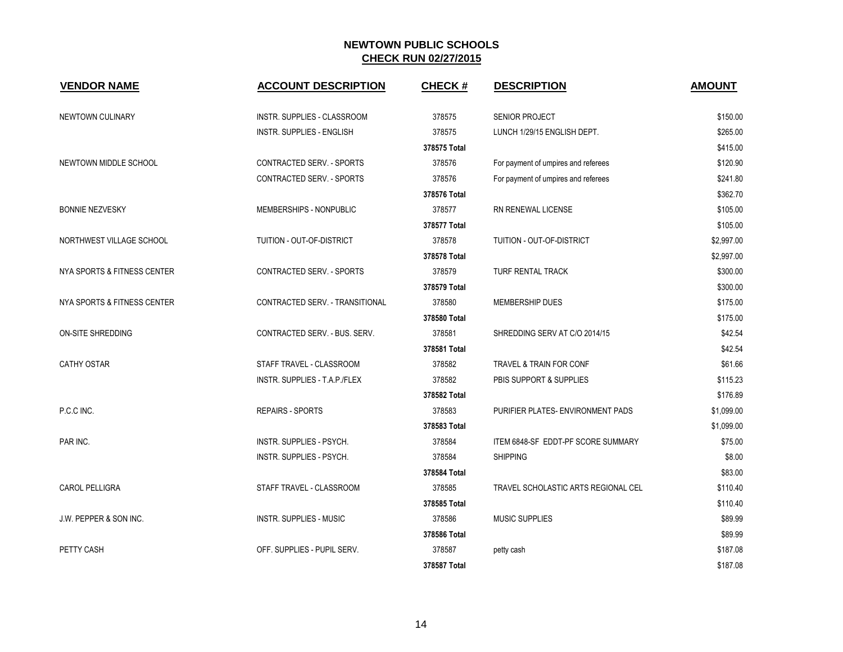| <b>VENDOR NAME</b>          | <b>ACCOUNT DESCRIPTION</b>         | <b>CHECK#</b> | <b>DESCRIPTION</b>                  | <b>AMOUNT</b> |
|-----------------------------|------------------------------------|---------------|-------------------------------------|---------------|
| NEWTOWN CULINARY            | <b>INSTR. SUPPLIES - CLASSROOM</b> | 378575        | <b>SENIOR PROJECT</b>               | \$150.00      |
|                             | <b>INSTR. SUPPLIES - ENGLISH</b>   | 378575        | LUNCH 1/29/15 ENGLISH DEPT.         | \$265.00      |
|                             |                                    | 378575 Total  |                                     | \$415.00      |
| NEWTOWN MIDDLE SCHOOL       | CONTRACTED SERV. - SPORTS          | 378576        | For payment of umpires and referees | \$120.90      |
|                             | CONTRACTED SERV. - SPORTS          | 378576        | For payment of umpires and referees | \$241.80      |
|                             |                                    | 378576 Total  |                                     | \$362.70      |
| <b>BONNIE NEZVESKY</b>      | MEMBERSHIPS - NONPUBLIC            | 378577        | RN RENEWAL LICENSE                  | \$105.00      |
|                             |                                    | 378577 Total  |                                     | \$105.00      |
| NORTHWEST VILLAGE SCHOOL    | TUITION - OUT-OF-DISTRICT          | 378578        | TUITION - OUT-OF-DISTRICT           | \$2,997.00    |
|                             |                                    | 378578 Total  |                                     | \$2,997.00    |
| NYA SPORTS & FITNESS CENTER | CONTRACTED SERV. - SPORTS          | 378579        | TURF RENTAL TRACK                   | \$300.00      |
|                             |                                    | 378579 Total  |                                     | \$300.00      |
| NYA SPORTS & FITNESS CENTER | CONTRACTED SERV. - TRANSITIONAL    | 378580        | <b>MEMBERSHIP DUES</b>              | \$175.00      |
|                             |                                    | 378580 Total  |                                     | \$175.00      |
| <b>ON-SITE SHREDDING</b>    | CONTRACTED SERV. - BUS. SERV.      | 378581        | SHREDDING SERV AT C/O 2014/15       | \$42.54       |
|                             |                                    | 378581 Total  |                                     | \$42.54       |
| <b>CATHY OSTAR</b>          | STAFF TRAVEL - CLASSROOM           | 378582        | TRAVEL & TRAIN FOR CONF             | \$61.66       |
|                             | INSTR. SUPPLIES - T.A.P./FLEX      | 378582        | PBIS SUPPORT & SUPPLIES             | \$115.23      |
|                             |                                    | 378582 Total  |                                     | \$176.89      |
| P.C.C INC.                  | REPAIRS - SPORTS                   | 378583        | PURIFIER PLATES- ENVIRONMENT PADS   | \$1,099.00    |
|                             |                                    | 378583 Total  |                                     | \$1,099.00    |
| PAR INC.                    | INSTR. SUPPLIES - PSYCH.           | 378584        | ITEM 6848-SF EDDT-PF SCORE SUMMARY  | \$75.00       |
|                             | INSTR. SUPPLIES - PSYCH.           | 378584        | <b>SHIPPING</b>                     | \$8.00        |
|                             |                                    | 378584 Total  |                                     | \$83.00       |
| <b>CAROL PELLIGRA</b>       | STAFF TRAVEL - CLASSROOM           | 378585        | TRAVEL SCHOLASTIC ARTS REGIONAL CEL | \$110.40      |
|                             |                                    | 378585 Total  |                                     | \$110.40      |
| J.W. PEPPER & SON INC.      | <b>INSTR. SUPPLIES - MUSIC</b>     | 378586        | <b>MUSIC SUPPLIES</b>               | \$89.99       |
|                             |                                    | 378586 Total  |                                     | \$89.99       |
| PETTY CASH                  | OFF. SUPPLIES - PUPIL SERV.        | 378587        | petty cash                          | \$187.08      |
|                             |                                    | 378587 Total  |                                     | \$187.08      |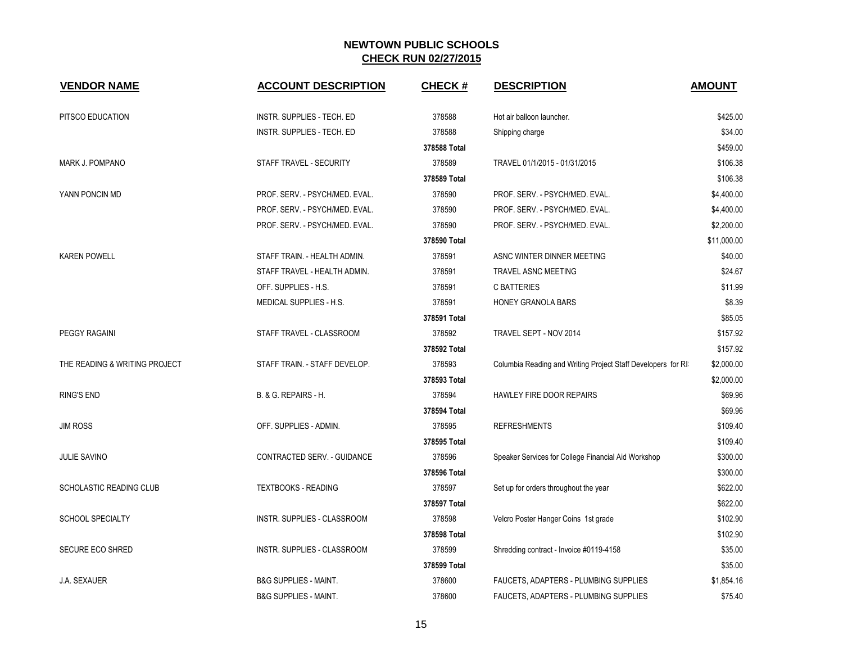| <b>VENDOR NAME</b>            | <b>ACCOUNT DESCRIPTION</b>         | <b>CHECK#</b> | <b>DESCRIPTION</b>                                           | <b>AMOUNT</b> |
|-------------------------------|------------------------------------|---------------|--------------------------------------------------------------|---------------|
| PITSCO EDUCATION              | INSTR. SUPPLIES - TECH. ED         | 378588        | Hot air balloon launcher.                                    | \$425.00      |
|                               | <b>INSTR. SUPPLIES - TECH. ED</b>  | 378588        | Shipping charge                                              | \$34.00       |
|                               |                                    | 378588 Total  |                                                              | \$459.00      |
| MARK J. POMPANO               | STAFF TRAVEL - SECURITY            | 378589        | TRAVEL 01/1/2015 - 01/31/2015                                | \$106.38      |
|                               |                                    | 378589 Total  |                                                              | \$106.38      |
| YANN PONCIN MD                | PROF. SERV. - PSYCH/MED. EVAL.     | 378590        | PROF. SERV. - PSYCH/MED. EVAL.                               | \$4,400.00    |
|                               | PROF. SERV. - PSYCH/MED. EVAL.     | 378590        | PROF. SERV. - PSYCH/MED. EVAL.                               | \$4,400.00    |
|                               | PROF. SERV. - PSYCH/MED. EVAL.     | 378590        | PROF. SERV. - PSYCH/MED. EVAL.                               | \$2,200.00    |
|                               |                                    | 378590 Total  |                                                              | \$11,000.00   |
| <b>KAREN POWELL</b>           | STAFF TRAIN. - HEALTH ADMIN.       | 378591        | ASNC WINTER DINNER MEETING                                   | \$40.00       |
|                               | STAFF TRAVEL - HEALTH ADMIN.       | 378591        | TRAVEL ASNC MEETING                                          | \$24.67       |
|                               | OFF. SUPPLIES - H.S.               | 378591        | <b>C BATTERIES</b>                                           | \$11.99       |
|                               | MEDICAL SUPPLIES - H.S.            | 378591        | HONEY GRANOLA BARS                                           | \$8.39        |
|                               |                                    | 378591 Total  |                                                              | \$85.05       |
| <b>PEGGY RAGAINI</b>          | STAFF TRAVEL - CLASSROOM           | 378592        | TRAVEL SEPT - NOV 2014                                       | \$157.92      |
|                               |                                    | 378592 Total  |                                                              | \$157.92      |
| THE READING & WRITING PROJECT | STAFF TRAIN. - STAFF DEVELOP.      | 378593        | Columbia Reading and Writing Project Staff Developers for RI | \$2,000.00    |
|                               |                                    | 378593 Total  |                                                              | \$2,000.00    |
| <b>RING'S END</b>             | B. & G. REPAIRS - H.               | 378594        | HAWLEY FIRE DOOR REPAIRS                                     | \$69.96       |
|                               |                                    | 378594 Total  |                                                              | \$69.96       |
| <b>JIM ROSS</b>               | OFF. SUPPLIES - ADMIN.             | 378595        | <b>REFRESHMENTS</b>                                          | \$109.40      |
|                               |                                    | 378595 Total  |                                                              | \$109.40      |
| <b>JULIE SAVINO</b>           | CONTRACTED SERV. - GUIDANCE        | 378596        | Speaker Services for College Financial Aid Workshop          | \$300.00      |
|                               |                                    | 378596 Total  |                                                              | \$300.00      |
| SCHOLASTIC READING CLUB       | <b>TEXTBOOKS - READING</b>         | 378597        | Set up for orders throughout the year                        | \$622.00      |
|                               |                                    | 378597 Total  |                                                              | \$622.00      |
| SCHOOL SPECIALTY              | INSTR. SUPPLIES - CLASSROOM        | 378598        | Velcro Poster Hanger Coins 1st grade                         | \$102.90      |
|                               |                                    | 378598 Total  |                                                              | \$102.90      |
| <b>SECURE ECO SHRED</b>       | <b>INSTR. SUPPLIES - CLASSROOM</b> | 378599        | Shredding contract - Invoice #0119-4158                      | \$35.00       |
|                               |                                    | 378599 Total  |                                                              | \$35.00       |
| <b>J.A. SEXAUER</b>           | <b>B&amp;G SUPPLIES - MAINT.</b>   | 378600        | FAUCETS, ADAPTERS - PLUMBING SUPPLIES                        | \$1,854.16    |
|                               | <b>B&amp;G SUPPLIES - MAINT.</b>   | 378600        | FAUCETS, ADAPTERS - PLUMBING SUPPLIES                        | \$75.40       |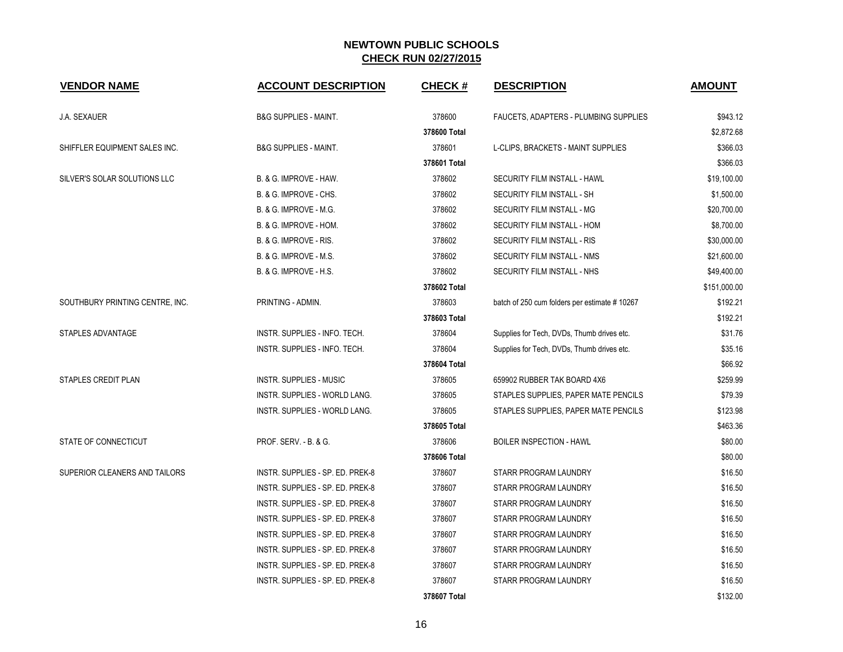| <b>VENDOR NAME</b>              | <b>ACCOUNT DESCRIPTION</b>        | <b>CHECK#</b> | <b>DESCRIPTION</b>                            | <b>AMOUNT</b> |
|---------------------------------|-----------------------------------|---------------|-----------------------------------------------|---------------|
| <b>J.A. SEXAUER</b>             | <b>B&amp;G SUPPLIES - MAINT.</b>  | 378600        | <b>FAUCETS, ADAPTERS - PLUMBING SUPPLIES</b>  | \$943.12      |
|                                 |                                   | 378600 Total  |                                               | \$2,872.68    |
| SHIFFLER EQUIPMENT SALES INC.   | <b>B&amp;G SUPPLIES - MAINT.</b>  | 378601        | L-CLIPS, BRACKETS - MAINT SUPPLIES            | \$366.03      |
|                                 |                                   | 378601 Total  |                                               | \$366.03      |
| SILVER'S SOLAR SOLUTIONS LLC    | B. & G. IMPROVE - HAW.            | 378602        | SECURITY FILM INSTALL - HAWL                  | \$19,100.00   |
|                                 | B. & G. IMPROVE - CHS.            | 378602        | SECURITY FILM INSTALL - SH                    | \$1,500.00    |
|                                 | B. & G. IMPROVE - M.G.            | 378602        | SECURITY FILM INSTALL - MG                    | \$20,700.00   |
|                                 | B. & G. IMPROVE - HOM.            | 378602        | SECURITY FILM INSTALL - HOM                   | \$8,700.00    |
|                                 | B. & G. IMPROVE - RIS.            | 378602        | SECURITY FILM INSTALL - RIS                   | \$30,000.00   |
|                                 | <b>B. &amp; G. IMPROVE - M.S.</b> | 378602        | SECURITY FILM INSTALL - NMS                   | \$21,600.00   |
|                                 | <b>B. &amp; G. IMPROVE - H.S.</b> | 378602        | SECURITY FILM INSTALL - NHS                   | \$49,400.00   |
|                                 |                                   | 378602 Total  |                                               | \$151,000.00  |
| SOUTHBURY PRINTING CENTRE, INC. | PRINTING - ADMIN.                 | 378603        | batch of 250 cum folders per estimate # 10267 | \$192.21      |
|                                 |                                   | 378603 Total  |                                               | \$192.21      |
| STAPLES ADVANTAGE               | INSTR. SUPPLIES - INFO. TECH.     | 378604        | Supplies for Tech, DVDs, Thumb drives etc.    | \$31.76       |
|                                 | INSTR. SUPPLIES - INFO. TECH.     | 378604        | Supplies for Tech, DVDs, Thumb drives etc.    | \$35.16       |
|                                 |                                   | 378604 Total  |                                               | \$66.92       |
| <b>STAPLES CREDIT PLAN</b>      | <b>INSTR. SUPPLIES - MUSIC</b>    | 378605        | 659902 RUBBER TAK BOARD 4X6                   | \$259.99      |
|                                 | INSTR. SUPPLIES - WORLD LANG.     | 378605        | STAPLES SUPPLIES, PAPER MATE PENCILS          | \$79.39       |
|                                 | INSTR. SUPPLIES - WORLD LANG.     | 378605        | STAPLES SUPPLIES, PAPER MATE PENCILS          | \$123.98      |
|                                 |                                   | 378605 Total  |                                               | \$463.36      |
| STATE OF CONNECTICUT            | PROF. SERV. - B. & G.             | 378606        | <b>BOILER INSPECTION - HAWL</b>               | \$80.00       |
|                                 |                                   | 378606 Total  |                                               | \$80.00       |
| SUPERIOR CLEANERS AND TAILORS   | INSTR. SUPPLIES - SP. ED. PREK-8  | 378607        | STARR PROGRAM LAUNDRY                         | \$16.50       |
|                                 | INSTR. SUPPLIES - SP. ED. PREK-8  | 378607        | STARR PROGRAM LAUNDRY                         | \$16.50       |
|                                 | INSTR. SUPPLIES - SP. ED. PREK-8  | 378607        | STARR PROGRAM LAUNDRY                         | \$16.50       |
|                                 | INSTR. SUPPLIES - SP. ED. PREK-8  | 378607        | STARR PROGRAM LAUNDRY                         | \$16.50       |
|                                 | INSTR. SUPPLIES - SP. ED. PREK-8  | 378607        | STARR PROGRAM LAUNDRY                         | \$16.50       |
|                                 | INSTR. SUPPLIES - SP. ED. PREK-8  | 378607        | STARR PROGRAM LAUNDRY                         | \$16.50       |
|                                 | INSTR. SUPPLIES - SP. ED. PREK-8  | 378607        | STARR PROGRAM LAUNDRY                         | \$16.50       |
|                                 | INSTR. SUPPLIES - SP. ED. PREK-8  | 378607        | STARR PROGRAM LAUNDRY                         | \$16.50       |
|                                 |                                   | 378607 Total  |                                               | \$132.00      |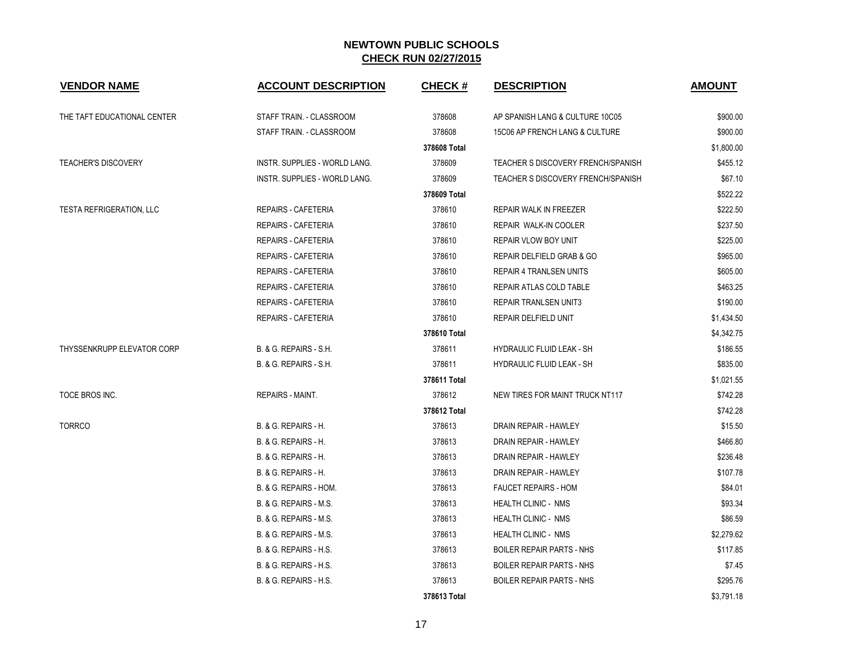| <b>VENDOR NAME</b>          | <b>ACCOUNT DESCRIPTION</b>        | <b>CHECK#</b> | <b>DESCRIPTION</b>                 | <b>AMOUNT</b> |
|-----------------------------|-----------------------------------|---------------|------------------------------------|---------------|
| THE TAFT EDUCATIONAL CENTER | STAFF TRAIN. - CLASSROOM          | 378608        | AP SPANISH LANG & CULTURE 10C05    | \$900.00      |
|                             | STAFF TRAIN. - CLASSROOM          | 378608        | 15C06 AP FRENCH LANG & CULTURE     | \$900.00      |
|                             |                                   | 378608 Total  |                                    | \$1,800.00    |
| <b>TEACHER'S DISCOVERY</b>  | INSTR. SUPPLIES - WORLD LANG.     | 378609        | TEACHER S DISCOVERY FRENCH/SPANISH | \$455.12      |
|                             | INSTR. SUPPLIES - WORLD LANG.     | 378609        | TEACHER S DISCOVERY FRENCH/SPANISH | \$67.10       |
|                             |                                   | 378609 Total  |                                    | \$522.22      |
| TESTA REFRIGERATION, LLC    | <b>REPAIRS - CAFETERIA</b>        | 378610        | REPAIR WALK IN FREEZER             | \$222.50      |
|                             | <b>REPAIRS - CAFETERIA</b>        | 378610        | <b>REPAIR WALK-IN COOLER</b>       | \$237.50      |
|                             | <b>REPAIRS - CAFETERIA</b>        | 378610        | <b>REPAIR VLOW BOY UNIT</b>        | \$225.00      |
|                             | REPAIRS - CAFETERIA               | 378610        | REPAIR DELFIELD GRAB & GO          | \$965.00      |
|                             | <b>REPAIRS - CAFETERIA</b>        | 378610        | <b>REPAIR 4 TRANLSEN UNITS</b>     | \$605.00      |
|                             | <b>REPAIRS - CAFETERIA</b>        | 378610        | REPAIR ATLAS COLD TABLE            | \$463.25      |
|                             | <b>REPAIRS - CAFETERIA</b>        | 378610        | <b>REPAIR TRANLSEN UNIT3</b>       | \$190.00      |
|                             | REPAIRS - CAFETERIA               | 378610        | REPAIR DELFIELD UNIT               | \$1,434.50    |
|                             |                                   | 378610 Total  |                                    | \$4,342.75    |
| THYSSENKRUPP ELEVATOR CORP  | B. & G. REPAIRS - S.H.            | 378611        | <b>HYDRAULIC FLUID LEAK - SH</b>   | \$186.55      |
|                             | B. & G. REPAIRS - S.H.            | 378611        | HYDRAULIC FLUID LEAK - SH          | \$835.00      |
|                             |                                   | 378611 Total  |                                    | \$1,021.55    |
| TOCE BROS INC.              | REPAIRS - MAINT.                  | 378612        | NEW TIRES FOR MAINT TRUCK NT117    | \$742.28      |
|                             |                                   | 378612 Total  |                                    | \$742.28      |
| <b>TORRCO</b>               | B. & G. REPAIRS - H.              | 378613        | DRAIN REPAIR - HAWLEY              | \$15.50       |
|                             | B. & G. REPAIRS - H.              | 378613        | DRAIN REPAIR - HAWLEY              | \$466.80      |
|                             | B. & G. REPAIRS - H.              | 378613        | DRAIN REPAIR - HAWLEY              | \$236.48      |
|                             | B. & G. REPAIRS - H.              | 378613        | DRAIN REPAIR - HAWLEY              | \$107.78      |
|                             | B. & G. REPAIRS - HOM.            | 378613        | <b>FAUCET REPAIRS - HOM</b>        | \$84.01       |
|                             | B. & G. REPAIRS - M.S.            | 378613        | <b>HEALTH CLINIC - NMS</b>         | \$93.34       |
|                             | B. & G. REPAIRS - M.S.            | 378613        | <b>HEALTH CLINIC - NMS</b>         | \$86.59       |
|                             | B. & G. REPAIRS - M.S.            | 378613        | HEALTH CLINIC - NMS                | \$2,279.62    |
|                             | B. & G. REPAIRS - H.S.            | 378613        | <b>BOILER REPAIR PARTS - NHS</b>   | \$117.85      |
|                             | B. & G. REPAIRS - H.S.            | 378613        | <b>BOILER REPAIR PARTS - NHS</b>   | \$7.45        |
|                             | <b>B. &amp; G. REPAIRS - H.S.</b> | 378613        | <b>BOILER REPAIR PARTS - NHS</b>   | \$295.76      |
|                             |                                   | 378613 Total  |                                    | \$3,791.18    |